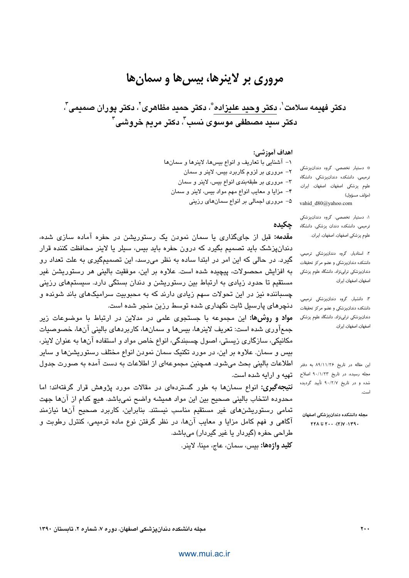# مروری بر لاینرها، بیس ها و سمان ها

دكتر فهيمه سلامت ٰ، دكتر وحيد عليزاده ؓ، دكتر حميد مظاهرى ؒ ، دكتر پوران صميمى ؒ ، دکتر سيد مصطفى موسوى نسب"، دکتر مريم خروشي"

#### اهداف أموزشي:

حكىدە

١- آشنايي با تعاريف و انواع بيسها، لاينرها و سمانها

٢- مروری بر لزوم کاربرد بیس، لاینر و سمان

٣- مروري بر طبقهبندي انواع بيس، لاينر و سمان

۴- مزايا و معايب انواع مهم مواد بيس، لاينر و سمان

۵– مروری اجمالی بر انواع سمانهای رزینی

\* دستیار تخصصی، گروه دندانیزشکی ترمیمی، دانشکده دندانپزشکی، دانشگاه علوم پزشكى اصفهان، اصفهان، ايران. (مؤلف مسؤول) vahid d80@yahoo.com

۱: دستیار تخصصی، گروه دندانپزشکی ترمیمی، دانشکده دندان پزشکی، دانشگاه علوم پزشکی اصفهان، اصفهان، ایران.

٢: استادیار، گروه دندانپزشکی ترمیمی، دانشکده دندانپزشکی و عضو مرکز تحقیقات دندانپزشکی ترابینژاد، دانشگاه علوم پزشکی اصفهان، اصفهان، ایران.

٣. دانشیار، گروه دندانپزشکی ترمیمی، دانشکده دندانپزشکی و عضو مرکز تحقیقات دندانپزشکی ترایینژاد، دانشگاه علوم پزشکی اصفهان، اصفهان، ایران.

این مقاله در تاریخ ۸۹/۱۱/۲۶ به دفتر مجله رسیده، در تاریخ ۹۰/۱/۲۳ اصلاح شده و در تاریخ ۹۰/۲/۷ تأیید گردیده

مجله دانشكده دندانيزشكي اصفهان  $YYA$  i  $Y \cdot \cdot \cdot (Y)Y \cdot 1Y9 \cdot$ 

<mark>مقدمه: ق</mark>بل از جایگذاری با سمان نمودن یک رستوریشن در چفره آماده سازی شده، دندانپزشک باید تصمیم بگیرد که درون حفره باید بیس، سیلر یا لاینر محافظت کننده قرار گیرد. در حالی که این امر در ابتدا ساده به نظر میرسد، این تصمیمگیری به علت تعداد رو به افزایش محصولات، پیچیده شده است. علاوه بر این، موفقیت بالینی هر رستوریشن غیر مستقیم تا حدود زیادی به ارتباط بین رستوریشن و دندان بستگی دارد. سیستمهای رزینی چسباننده نیز در این تحولات سهم زیادی دارند که به محبوبیت سرامیکهای باند شونده و دنچرهای پارسیل ثابت نگهداری شده توسط رزین منجر شده است.

مواد و روشها: این مجموعه با جستجوی علمی در مدلاین در ارتباط با موضوعات زیر جمعآوری شده است: تعریف لاینرها، بیسها و سمانها، کاربردهای بالینی آنها، خصوصیات مکانیکی، سازگاری زیستی، اصول چسبندگی، انواع خاص مواد و استفاده آنها به عنوان لاینر، بیس و سمان. علاوه بر این، در مورد تکنیک سمان نمودن انواع مختلف رستوریشنها و سایر اطلاعات بالینی بحث می شود. همچنین مجموعهای از اطلاعات به دست آمده به صورت جدول تهیه و ارایه شده است.

**نتیجهگیری:** انواع سمانها به طور گستردهای در مقالات مورد پژوهش قرار گرفتهاند؛ اما محدوده انتخاب باليني صحيح بين اين مواد هميشه واضح نميباشد. هيچ كدام از آنها جهت تمامی رستوریشنهای غیر مستقیم مناسب نیستند. بنابراین، کاربرد صحیح آنها نیازمند آگاهی و فهم کامل مزایا و معایب آنها، در نظر گرفتن نوع ماده ترمیمی، کنترل رطوبت و طراحی حفرہ (گیردار یا غیر گیردار) مے،باشد. كليد واژەها: بيس، سمان، عاج، مينا، لاينر.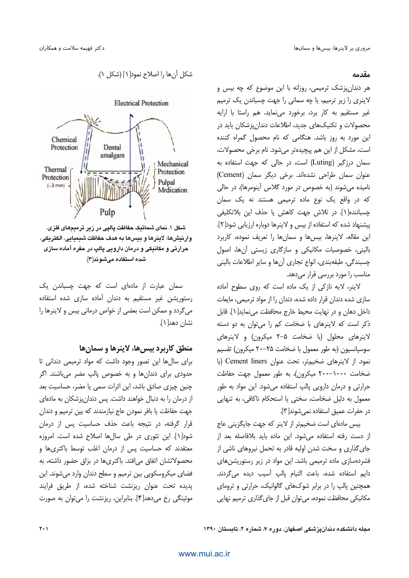#### مقدمه

هر دندانپزشک ترمیمی، روزانه با این موضوع که چه بیس و لاینری را زیر ترمیم، یا چه سمانی را جهت چسباندن یک ترمیم غیر مستقیم به کار برد، برخورد می نماید. هم راستا با ارایه محصولات و تکنیکهای جدید، اطلاعات دندانپزشکان باید در این مورد به روز باشد. هنگامی که نام محصول گمراه کننده است، مشکل از این هم پیچیدهتر میشود. نام برخی محصولات، سمان درزگیر (Luting) است، در حالی که جهت استفاده به عنوان سمان طراحی نشدهاند. برخی دیگر سمان (Cement) نامیده می شوند (به خصوص در مورد گلاس آینومرها)، در حالی که در واقع یک نوع ماده ترمیمی هستند نه یک سمان چسباننده[۱]. در تلاش جهت كاهش يا حذف اين بلاتكليفي پیشنهاد شده که استفاده از بیس و لاینرها دوباره ارزیابی شود[۲]. این مقاله، لاینرها، بیس ها و سمان ها را تعریف نموده، کاربرد بالینی، خصوصیات مکانیکی و سازگاری زیستی آنها، اصول چسبندگی، طبقهبندی، انواع تجاری آنها و سایر اطلاعات بالینی مناسب را مورد بررسی قرار می دهد.

لاینر، لایه نازکی از یک ماده است که روی سطوح آماده سازی شده دندان قرار داده شده، دندان را از مواد ترمیمی، مایعات داخل دهان و در نهايت محيط خارج محافظت مي نمايد[1]. قابل ذکر است که لاینرهای با ضخامت کم را می توان به دو دسته لاینرهای محلول (با ضخامت ۵–۲ میکرون) و لاینرهای سوسیانسیون (به طور معمول با ضخامت ۲۵–۲۰ میکرون) تقسیم نمود. از لاینرهای ضخیمتر، تحت عنوان Cement liners (با ضخامت ١٠٠٠-٢٠٠٠ ميكرون)، به طور معمول جهت حفاظت حرارتی و درمان دارویی پالپ استفاده می شود. این مواد به طور معمول به دلیل ضخامت، سختی یا استحکام ناکافی، به تنهایی در حفرات عميق استفاده نمي شوند[٣].

بیس مادمای است ضخیمتر از لاینر که جهت جایگزینی عاج از دست رفته استفاده می شود. این ماده باید بلافاصله بعد از جای گذاری و سخت شدن اولیه قادر به تحمل نیروهای ناشی از فشردهسازی ماده ترمیمی باشد. این مواد در زیر رستوریشنهای دايم استفاده شده، باعث التيام پالپ آسيب ديده مي گردند. همچنین پالپ را در برابر شوکهای گالوانیک، حرارتی و ترومای مکانیکی محافظت نموده، می توان قبل از جای گذاری ترمیم نهایی



شده استفاده میشوند[۳].

سمان عبارت از مادهای است که جهت چسباندن یک رستوریشن غیر مستقیم به دندان آماده سازی شده استفاده میگردد و ممکن است بعضی از خواص درمانی بیس و لاینرها را نشان دهد[۱].

منطق کاربرد بیس ها، لاینرها و سمان ها

برای سالها این تصور وجود داشت که مواد ترمیمی دندانی تا حدودی برای دندانها و به خصوص پالپ مضر میباشند. اگر چنین چیزی صادق باشد، این اثرات سمی یا مضر، حساسیت بعد از درمان را به دنبال خواهند داشت. پس دندان پزشکان به مادهای جهت حفاظت یا بافر نمودن عاج نیازمندند که بین ترمیم و دندان قرار گرفته، در نتیجه باعث حذف حساسیت پس از درمان شود[۱]. این تئوری در طی سالها اصلاح شده است. امروزه معتقدند که حساسیت پس از درمان اغلب توسط باکتریها و محصولاتشان اتفاق می|فتد. باکتریها در بزاق حضور داشته، به فضای میکروسکوپی بین ترمیم و سطح دندان وارد میشوند. این یدیده تحت عنوان ریزنشت شناخته شده، از طریق فرایند موئينگي رخ مي دهد[۴]. بنابراين، ريزنشت را مي توان به صورت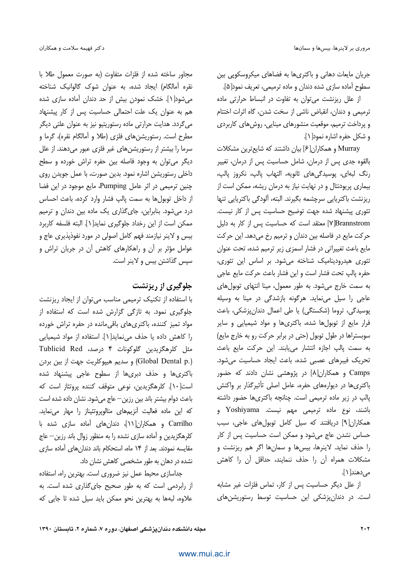جریان مایعات دهانی و باکتریها به فضاهای میکروسکویی بین سطوح آماده سازی شده دندان و ماده ترمیمی، تعریف نمود[۵].

از علل ریزنشت می توان به تفاوت در انبساط حرارتی ماده ترميمي و دندان، انقباض ناشي از سخت شدن، گاه اثرات اختتام و پرداخت ترمیم، موقعیت منشورهای مینایی، روش های کاربردی و شكل حفره اشاره نمود[ ۱ ].

Murray و همكاران[۶] بيان داشتند كه شايعترين مشكلات بالقوه جدی پس از درمان، شامل حساسیت پس از درمان، تغییر رنگ لبهای، پوسیدگیهای ثانویه، التهاب پالپ، نکروز پالپ، بیماری پریودنتال و در نهایت نیاز به درمان ریشه، ممکن است از ریزنشت باکتریایی سرچشمه بگیرند. البته، آلودگی باکتریایی تنها تئوری پیشنهاد شده جهت توضیح حساسیت پس از کار نیست. VBrannstrom] معتقد است که حساسیت پس از کار به دلیل حرکت مایع در فاصله بین دندان و ترمیم رخ میدهد. این حرکت مایع باعث تغییراتی در فشار اسمزی زیر ترمیم شده، تحت عنوان تئوری هیدرودینامیک شناخته میشود. بر اساس این تئوری، حفره پالپ تحت فشار است و این فشار باعث حرکت مایع عاجی به سمت خارج می شود. به طور معمول، مینا انتهای توبول های عاجي را سيل مي نمايد. هرگونه بازشدگي در مينا به وسيله پوسیدگی، تروما (شکستگی) یا طی اعمال دندانپزشکی، باعث فرار مایع از توبول ها شده، باکتری ها و مواد شیمیایی و سایر سوبستراها در طول توبول (حتى در برابر حركت رو به خارج مايع) به سمت پالپ اجازه انتشار می یابند. این حرکت مایع باعث تحریک فیبرهای عصبی شده، باعث ایجاد حساسیت می شود. Camps و همکاران[۸] در پژوهشی نشان دادند که حضور باکتریها در دیوارههای حفره، عامل اصلی تأثیرگذار بر واکنش پالپ در زیر ماده ترمیمی است. چنانچه باکتریها حضور داشته باشند، نوع ماده ترمیمی مهم نیست. Yoshiyama و همکاران[۹] دریافتند که سیل کامل توبولهای عاجی، سبب حساس نشدن عاج می شود و ممکن است حساسیت پس از کار را حذف نماید. لاینرها، بیسها و سمانها اگر هم ریزنشت و مشكلات همراه أن را حذف ننمايند، حداقل أن را كاهش مے ردھند[1].

از علل دیگر حساسیت پس از کار، تماس فلزات غیر مشابه است. در دندانپزشکی این حساسیت توسط رستوریشنهای

مجاور ساخته شده از فلزات متفاوت (به صورت معمول طلا با نقره آمالگام) ایجاد شده، به عنوان شوک گالوانیک شناخته میشود[۱]. خشک نمودن بیش از حد دندان آماده سازی شده هم به عنوان یک علت احتمالی حساسیت پس از کار پیشنهاد مي گردد. هدايت حرارتي ماده رستوريتيو نيز به عنوان علتي ديگر مطرح است. رستوریشنهای فلزی (طلا و آمالگام نقره)، گرما و سرما را بیشتر از رستوریشنهای غیر فلزی عبور میدهند. از علل دیگر می توان به وجود فاصله بین حفره تراش خورده و سطح داخلی رستوریشن اشاره نمود. بدین صورت، با عمل جویدن روی چنین ترمیمی در اثر عامل Pumping، مایع موجود در این فضا از داخل توبولها به سمت پالپ فشار وارد کرده، باعث احساس درد می شود. بنابراین، جای گذاری یک ماده بین دندان و ترمیم ممكن است از اين رخداد جلوگيري نمايد[1]. البته فلسفه كاربرد بیس و لاینر نیازمند فهم کامل اصولی در مورد نفوذیذیری عاج و عوامل مؤثر بر آن و راهکارهای کاهش آن در جریان تراش و سیس گذاشتن بیس و لاینر است.

#### جلوگیری از ریزنشت

با استفاده از تکنیک ترمیمی مناسب میتوان از ایجاد ریزنشت جلوگیری نمود. به تازگی گزارش شده است که استفاده از مواد تمیز کننده، باکتری های باقی مانده در حفره تراش خورده را كاهش داده يا حذف مي نمايد[1]. استفاده از مواد شيميايي مثل كلرهگزيدين گلوكونات ۴ درصد، Tublicid Red (Global Dental p.) و سديم هييوكلريت جهت از بين بردن باکتریها و حذف دبریها از سطوح عاجی پیشنهاد شده است[۱۰]. کلرهگزیدین، نوعی متوقف کننده پروتئاز است که باعث دوام بیشتر باند بین رزین—عاج میشود. نشان داده شده است كه اين ماده فعاليت آنزيمهاى متالويروتئيناز را مهار مى نمايد. Carrilho و همکاران[۱۱]، دندانهای آماده سازی شده با كلرهگزيدين و آماده سازى نشده را به منظور زوال باند رزين—عاج مقایسه نمودند. بعد از ۱۴ ماه، استحکام باند دندان های آماده سازی نشده در دهان به طور مشخصی کاهش نشان داد.

جداسازی محیط عمل نیز ضروری است. بهترین راه، استفاده از رابردمی است که به طور صحیح جای گذاری شده است. به علاوه، لبهها به بهترین نحو ممکن باید سیل شده تا جایی که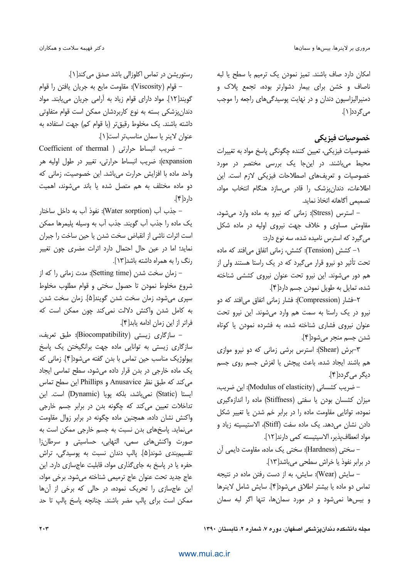امکان دارد صاف باشند. تمیز نمودن یک ترمیم با سطح یا لبه ناصاف و خشن برای بیمار دشوارتر بوده، تجمع پلاک و دمنیرالیزاسیون دندان و در نهایت پوسیدگیهای راجعه را موجب می گردد[۱].

### خصوصيات فيزيكي

خصوصیات فیزیکی، تعیین کننده چگونگی پاسخ مواد به تغییرات محیط میباشند. در اینجا یک بررسی مختصر در مورد خصوصیات و تعریفهای اصطلاحات فیزیکی لازم است. این اطلاعات، دندان پزشک را قادر می سازد هنگام انتخاب مواد، تصميمي أگاهانه اتخاذ نمايد.

– استرس (Stress): زمانی که نیرو به ماده وارد می شود، مقاومتی مساوی و خلاف جهت نیروی اولیه در ماده شکل می گیرد که استرس نامیده شده، سه نوع دارد:

۱- کشش (Tension): کشش، زمانی اتفاق میافتد که ماده تحت تأثیر دو نیرو قرار میگیرد که در یک راستا هستند ولی از هم دور می شوند. این نیرو تحت عنوان نیروی کششی شناخته شده، تمایل به طویل نمودن جسم دارد[۴].

۲–فشار (Compression): فشار زمانی اتفاق می افتد که دو نیرو در یک راستا به سمت هم وارد میشوند. این نیرو تحت عنوان نیروی فشاری شناخته شده، به فشرده نمودن یا کوتاه شدن جسم منجر ميشود[۴].

٣-برش (Shear): استرس برشي زماني كه دو نيرو موازى هم باشند ایجاد شده، باعث پیچش یا لغزش جسم روی جسم ديگر مي گردد[۴].

– ضريب كشسانى (Modulus of elasticity): اين ضريب، میزان کشسان بودن یا سفتی (Stiffness) ماده را اندازهگیری نموده، توانایی مقاومت ماده را در برابر خم شدن یا تغییر شکل دادن نشان می دهد. یک ماده سفت (Stiff)، الاستیسیته زیاد و مواد انعطاف يذير، الاسيتيسته كمي دارند[١٢].

– سختی (Hardness): سختی یک ماده، مقاومت دایمی آن در برابر نفوذ یا خراش سطحی میباشد[۱۳].

– سایش (Wear): سایش، به از دست رفتن ماده در نتیجه تماس دو ماده یا بیشتر اطلاق میشود[۴]. سایش شامل لاینرها و بیس ها نمی شود و در مورد سمان ها، تنها اگر لبه سمان

رستوريشن در تماس اكلوزالي باشد صدق مي كند[1].

– قوام (Viscosity): مقاومت مايع به جريان يافتن را قوام گویند[۱۲]. مواد دارای قوام زیاد به آرامی جریان می یابند. مواد دندانپزشکی بسته به نوع کاربردشان ممکن است قوام متفاوتی داشته باشند. یک مخلوط رقیقتر (با قوام کم) جهت استفاده به عنوان لاينر يا سمان مناسبتر است[1].

- ضريب انبساط حرارتى ( Coefficient of thermal expansion): ضريب انبساط حرارتي، تغيير در طول اوليه هر واحد ماده با افزایش حرارت میباشد. این خصوصیت، زمانی که دو ماده مختلف به هم متصل شده یا باند می شوند، اهمیت دار د[۴].

– جذب آب (Water sorption): نفوذ آب به داخل ساختار یک ماده را جذب آب گویند. جذب آب به وسیله پلیمرها ممکن است اثرات ناشی از انقباض سخت شدن یا حین ساخت را جبران نماید؛ اما در عین حال احتمال دارد اثرات مضری چون تغییر رنگ را به همراه داشته باشد[۱۳].

– زمان سخت شدن (Setting time): مدت زمانی را که از شروع مخلوط نمودن تا حصول سختی و قوام مطلوب مخلوط سپری می شود، زمان سخت شدن گویند[۵]. زمان سخت شدن به كامل شدن واكنش دلالت نمى كند چون ممكن است كه فراتر از اين زمان ادامه يابد[۴].

– سازگاری زیستی (Biocompatibility): طبق تعریف، سازگاری زیستی به توانایی ماده جهت برانگیختن یک پاسخ بیولوژیک مناسب حین تماس با بدن گفته میشود[۴]. زمانی که یک ماده خارجی در بدن قرار داده می شود، سطح تماسی ایجاد می کند که طبق نظر Anusavice و Phillips این سطح تماس ایستا (Static) نمیباشد، بلکه یویا (Dynamic) است. این تداخلات تعیین میکند که چگونه بدن در برابر جسم خارجی واکنش نشان داده، همچنین ماده چگونه در برابر زوال مقاومت می نماید. پاسخهای بدن نسبت به جسم خارجی ممکن است به صورت واکنشهای سمی، التهابی، حساسیتی و سرطانِزا تقسیم؛ندی شوند[۵]. پالپ دندان نسبت به پوسیدگی، تراش حفره یا در پاسخ به جای گذاری مواد، قابلیت عاجسازی دارد. این عاج جديد تحت عنوان عاج ترميمي شناخته مي شود. برخي مواد، این عاجسازی را تحریک نموده، در حالی که برخی از آنها ممكن است براى پالپ مضر باشند. چنانچه پاسخ پالپ تا حد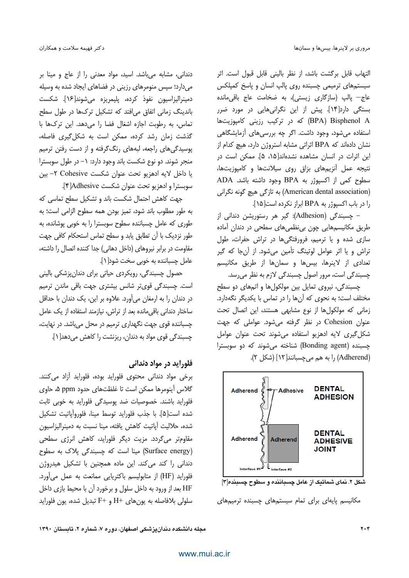التهاب قابل برگشت باشد، از نظر بالینی قابل قبول است. اثر سیستمهای ترمیمی چسبنده روی پالپ انسان و پاسخ کمپلکس عاج– پالپ (سازگاری زیستی)، به ضخامت عاج باقی مانده بستگی دارد[۱۴]. پیش از این نگرانی هایی در مورد ضرر BPA) Bisphenol A) که در ترکیب رزینی کامپوزیتها استفاده میشود، وجود داشت. اگر چه بررسیهای آزمایشگاهی نشان دادهاند که BPA اثراتی مشابه استروژن دارد، هیچ کدام از این اثرات در انسان مشاهده نشدهاند[۱۵، ۵]. ممکن است در نتیجه عمل آنزیمهای بزاق روی سیلانتها و کامپوزیتها، سطوح كمي از اكسيوژر به BPA وجود داشته باشد. ADA (American dental association) به تازگی هیچ گونه نگرانی را در باب اکسپوژر به BPA ابراز نکرده است[۱۵].

– چسبندگی (Adhesion): گیر هر رستوریشن دندانی از طریق مکانیسمهایی چون بی نظمیهای سطحی در دندان آماده سازی شده و یا ترمیم، فرورفتگیها در تراش حفرات، طول تراش و یا اثر عوامل لوتینگ تأمین می شود. از آنجا که گیر تعدادی از لاینرها، بیس ها و سمانها از طریق مکانیسم چسبندگی است، مرور اصول چسبندگی لازم به نظر می رسد.

چسبندگی، نیروی تمایل بین مولکولها و اتمهای دو سطح مختلف است؛ به نحوی که آنها را در تماس با یکدیگر نگهدارد. زمانی که مولکولها از نوع مشابهی هستند، این اتصال تحت عنوان Cohesion در نظر گرفته میشود. عواملی که جهت شكل گيري لايه ادهزيو استفاده مي شوند تحت عنوان عوامل چسبنده (Bonding agent) شناخته می شوند که دو سویسترا (Adherend) را به هم می چسبانند[۱۲] (شکل ۲).



شکل ۲. نمای شماتیک از عامل چسباننده و سطوح چسبنده[۳]

مکانیسم پایهای برای تمام سیستمهای چسبنده ترمیمهای

دندانی، مشابه میباشد. اسید، مواد معدنی را از عاج و مینا بر میدارد؛ سپس منومرهای رزینی در فضاهای ایجاد شده به وسیله دمينراليزاسيون نفوذ كرده، پليمريزه ميشوند[۱۶]. شكست باندینگ زمانی اتفاق می|فتد که تشکیل ترکھا در طول سطح تماس، به رطوبت اجازه اشغال فضا را می دهد. این ترکها با گذشت زمان رشد كرده، ممكن است به شكل گيرى فاصله، یوسیدگی های راجعه، لبههای رنگگرفته و از دست رفتن ترمیم منجر شوند. دو نوع شکست باند وجود دارد: ١– در طول سوبسترا يا داخل لايه ادهزيو تحت عنوان شكست Cohesive ٢- بين سوبسترا و ادهزيو تحت عنوان شكست Adhesive[\*].

جهت كاهش احتمال شكست باند و تشكيل سطح تماسى كه به طور مطلوب باند شود، تميز بودن همه سطوح الزامي است؛ به طوری که عامل چسباننده سطوح سوبسترا را به خوبی پوشانده، به طور نزدیک با آن تطابق پابد و سطح تماس استحکام کافی جهت مقاومت در برابر نیروهای (داخل دهانی) جدا کننده اتصال را داشته، عامل چسباننده به خوبی سخت شود[ ۱].

حصول چسبندگی، رویکردی حیاتی برای دندانپزشکی بالینی است. چسبندگی قویتر شانس بیشتری جهت باقی ماندن ترمیم در دندان را به ارمغان می آورد. علاوه بر این، یک دندان با حداقل ساختار دندانی باقی مانده بعد از تراش، نیازمند استفاده از یک عامل چسباننده قوی جهت نگهداری ترمیم در محل می باشد. در نهایت، چسبندگی قوی مواد به دندان، ریزنشت را کاهش می دهد[۱].

#### فلورايد در مواد دندانی

برخی مواد دندانی محتوی فلوراید بوده، فلوراید آزاد میکنند. گلاس آینومرها ممکن است تا غلظتهای حدود ppm ۵، حاوی فلوراید باشند. خصوصیات ضد یوسیدگی فلوراید به خوبی ثابت شده است[۵]. با جذب فلورايد توسط مينا، فلوروآياتيت تشكيل شده، حلاليت آياتيت كاهش يافته، مينا نسبت به دمينراليزاسيون مقاومتر می گردد. مزیت دیگر فلوراید، کاهش انرژی سطحی (Surface energy) مینا است که چسبندگی پلاک به سطوح دندانی را کند می کند. این ماده همچنین با تشکیل هیدروژن فلورايد (HF) از متابوليسم باكتريايي ممانعت به عمل مي آورد. HF بعد از ورود به داخل سلول و برخورد آن با محیط بازی داخل سلولي بلافاصله به يون هاي +H و +F تبديل شده، يون فلورايد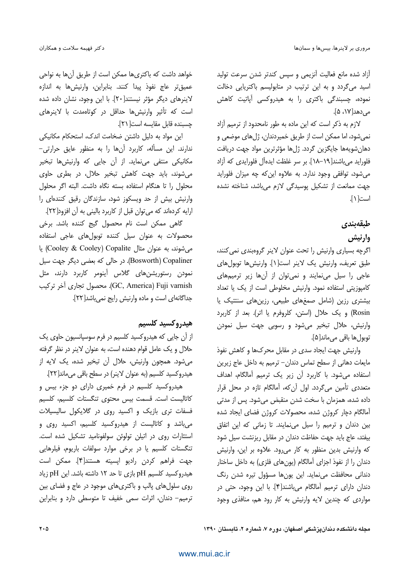آزاد شده مانع فعالیت آنزیمی و سپس کندتر شدن سرعت تولید اسید میگردد و به این ترتیب در متابولیسم باکتریایی دخالت نموده، چسبندگی باکتری را به هیدروکسی آپاتیت کاهش مے ,دھد[۱۷، ۵].

لازم به ذکر است که این ماده به طور نامحدود از ترمیم آزاد نمي شود، اما ممكن است از طريق خميردندان، ژلهاي موضعي و دهان شويهها جايگزين گردد. ژلها مؤثرترين مواد جهت دريافت فلوراید می باشند[۱۹–۱۸]. بر سر غلظت ایدهآل فلورایدی که آزاد می شود، توافقی وجود ندارد. به علاوه این که چه میزان فلوراید جهت ممانعت از تشكيل يوسيدگى لازم مى باشد، شناخته نشده است[ ۱ ].

### طبقەبندى

## وارنيش

اگرچه بسیاری وارنیش را تحت عنوان لاینر گروهبندی نمی کنند، طبق تعريف، وارنيش يک لاينر است[1]. وارنيشها توبولهاي عاجی را سیل مینمایند و نمیتوان از آنها زیر ترمیمهای كامپوزيتي استفاده نمود. وارنيش مخلوطي است از يک يا تعداد بیشتری رزین (شامل صمغهای طبیعی، رزینهای سنتتیک یا Rosin) و یک حلال (استن، کلروفرم یا اتر). بعد از کاربرد وارنیش، حلال تبخیر میشود و رسوبی جهت سیل نمودن توبول ها باقے مے ماند[۵].

وارنیش جهت ایجاد سدی در مقابل محرکها و کاهش نفوذ مایعات دهانی از سطح تماس دندان- ترمیم به داخل عاج زیرین استفاده می شود. با کاربرد آن زیر یک ترمیم آمالگام، اهداف متعددی تأمین می گردد. اول آن که، آمالگام تازه در محل قرار داده شده، همزمان با سخت شدن منقبض می شود. پس از مدتی آمالگام دچار كروژن شده، محصولات كروژن فضاى ايجاد شده بین دندان و ترمیم را سیل می نمایند. تا زمانی که این اتفاق بیفتد، عاج باید جهت حفاظت دندان در مقابل ریزنشت سیل شود که وارنیش بدین منظور به کار میرود. علاوه بر این، وارنیش دندان را از نفوذ اجزای آمالگام (یونهای فلزی) به داخل ساختار دندانی محافظت مینماید. این یونها مسؤول تیره شدن رنگ دندان دارای ترمیم آمالگام می باشند[۴]. با این وجود، حتی در مواردی که چندین لایه وارنیش به کار رود هم، منافذی وجود

خواهد داشت که باکتری ها ممکن است از طریق آن ها به نواحی عميق تر عاج نفوذ پيدا كنند. بنابراين، وارنيش ها به اندازه لاينرهاي ديگر مؤثر نيستند[٢٠]. با اين وجود، نشان داده شده است که تأثیر وارنیشها حداقل در کوتاهمدت با لاینرهای جسبنده قابل مقايسه است[٢١].

این مواد به دلیل داشتن ضخامت اندک، استحکام مکانیکی ندارند. این مسأله، کاربرد آنها را به منظور عایق حرارتی-مکانیکی منتفی می،نماید. از آن جایی که وارنیش ها تبخیر می شوند، باید جهت کاهش تبخیر حلال، در بطری حاوی محلول را تا هنگام استفاده بسته نگاه داشت. البته اگر محلول وارنیش بیش از حد ویسکوز شود، سازندگان رقیق کنندهای را ارايه كردهاند كه مي توان قبل از كاربرد باليني به آن افزود[٢٢].

گاهی ممکن است نام محصول گیج کننده باشد. برخی محصولات به عنوان سیل کننده توبولهای عاجی استفاده میشوند، به عنوان مثال Cooley & Cooley) Copalite) یا Bosworth) Copaliner). در حالی که بعضی دیگر جهت سیل نمودن رستوریشنها*ی گلا*س اَینومر کاربرد دارند، مثل GC, America) Fuji varnish). محصول تجارى آخر تركيب جداگانهای است و ماده وارنیش رایج نمی باشد[۲۲].

#### هيدروكسيد كلسيم

از آن جایی که هیدروکسید کلسیم در فرم سوسیانسیون حاوی یک حلال و یک عامل قوام دهنده است، به عنوان لاینر در نظر گرفته می شود. همچون وارنیش، حلال آن تبخیر شده، یک لایه از هیدروکسید کلسیم (به عنوان لاینر) در سطح باقی میءاند[۲۲].

هیدروکسید کلسیم در فرم خمیری دارای دو جزء بیس و كاتاليست است. قسمت بيس محتوى تنگستات كلسيم، كلسيم فسفات تری بازیک و اکسید روی در گلایکول سالیسیلات می باشد و کاتالیست از هیدروکسید کلسیم، اکسید روی و استئارات روی در اتیلن تولوئن سولفونامید تشکیل شده است. تنگستات کلسیم یا در برخی موارد سولفات باریوم، فیلرهایی جهت فراهم كردن راديو اپسيته هستند[۴]. ممكن است هیدروکسید کلسیم pH بازی تا حد ١٢ داشته باشد. این pH زیاد روی سلولهای پالپ و باکتریهای موجود در عاج و فضای بین ترميم- دندان، اثرات سمى خفيف تا متوسطى دارد و بنابراين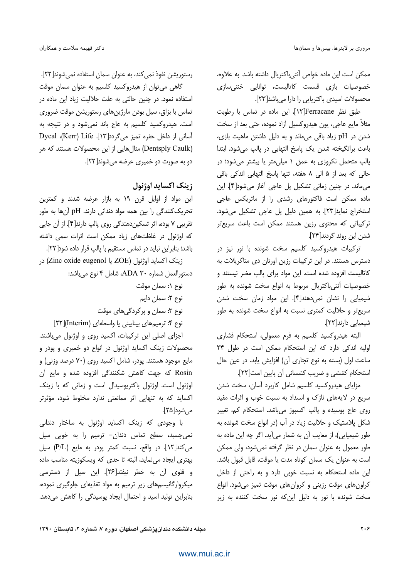ممكن است اين ماده خواص آنتي باكتريال داشته باشد. به علاوه، خصوصیات بازی قسمت کاتالیست، توانایی خنثی سازی محصولات اسیدی باکتریایی را دارا میباشد[۲۳].

طبق نظر Ferracane[١٢]، این ماده در تماس با رطوبت مثلاً مایع عاجی، یون هیدروکسیل آزاد نموده، حتی بعد از سخت شدن در pH زیاد باقی میماند و به دلیل داشتن ماهیت بازی، باعث برانگیخته شدن یک پاسخ التهابی در پالپ می شود. ابتدا یالپ متحمل نکروزی به عمق ۱ میلی متر یا بیشتر می شود؛ در حالی که بعد از ۵ الی ۸ هفته، تنها پاسخ التهابی اندکی باقی می ماند. در چنین زمانی تشکیل پل عاجی آغاز می شود[۴]. این ماده ممکن است فاکتورهای رشدی را از ماتریکس عاجی استخراج نماید[٢٣]. به همین دلیل پل عاجی تشکیل می شود. ترکیباتی که محتوی رزین هستند ممکن است باعث سریعتر شدن این روند گردند[۲۴].

ترکیبات هیدروکسید کلسیم سخت شونده با نور نیز در دسترس هستند. در این ترکیبات رزین اورتان دی متاکریلات به کاتالیست افزوده شده است. این مواد برای پالپ مضر نیستند و خصوصیات آنتی،باکتریال مربوط به انواع سخت شونده به طور شیمیایی را نشان نمی،دهند[۴]. این مواد زمان سخت شدن سریعتر و حلالیت کمتری نسبت به انواع سخت شونده به طور شیمیایی دارند[۲۲].

البته هیدروکسید کلسیم به فرم معمولی، استحکام فشاری اولیه اندکی دارد که این استحکام ممکن است در طول ٢۴ ساعت اول (بسته به نوع تجارى آن) افزايش يابد. در عين حال استحكام كششى و ضريب كشسانى آن پايين است[٢٢].

مزایای هیدروکسید کلسیم شامل کاربرد آسان، سخت شدن سریع در لایههای نازک و انسداد به نسبت خوب و اثرات مفید روی عاج یوسیده و پالپ اکسپوز می باشد. استحکام کم، تغییر شکل پلاستیک و حلالیت زیاد در آب (در انواع سخت شونده به طور شيميايي)، از معايب آن به شمار مي آيد. اگر چه اين ماده به طور معمول به عنوان سمان در نظر گرفته نمی شود، ولی ممکن است به عنوان یک سمان کوتاه مدت یا موقت، قابل قبول باشد. این ماده استحکام به نسبت خوبی دارد و به راحتی از داخل كراون هاى موقت رزينى وكروان هاى موقت تميز مى شود. انواع سخت شونده با نور به دلیل این که نور سخت کننده به زیر

رستوریشن نفوذ نمی کند، به عنوان سمان استفاده نمی شوند[۲۲]. گاهی می توان از هیدروکسید کلسیم به عنوان سمان موقت استفاده نمود. در چنین حالتی به علت حلالیت زیاد این ماده در تماس با بزاق، سیل بودن مارژینهای رستوریشن موقت ضروری است. هیدروکسید کلسیم به عاج باند نمی شود و در نتیجه به آسانی از داخل حفره تمیز میگردد[۱۳]. Dycal ،(Kerr) Life (Dentsply Caulk) مثال هایی از این محصولات هستند که هر دو به صورت دو خمیری عرضه می شوند[۲۲].

### زينک اکسايد اوژنول

این مواد از اوایل قرن ۱۹ به بازار عرضه شدند و کمترین تحریک کنندگی را بین همه مواد دندانی دارند. pH آنها به طور تقریبی ۷ بوده، اثر تسکیندهندگی روی پالپ دارند[۴]. از آن جایی که اوژنول در غلظتهای زیاد ممکن است اثرات سمی داشته باشد؛ بنابراین نباید در تماس مستقیم با پالپ قرار داده شود[۲۲].

زينك اكسايد اوژنول (ZOE يا Zinc oxide eugenol) در دستورالعمل شماره ADA ۳۰، شامل ۴ نوع میباشد:

نوع ۱: سمان موقت

نوع ۲: سمان دایم

نوع ۳: سمان و پرکردگیهای موقت

نوع ۴: ترمیمهای بینابینی یا واسطهای (Interim)[۲۲]

اجزای اصلی این ترکیبات، اکسید روی و اوژنول میباشند. محصولات زینک اکساید اوژنول در انواع دو خمیری و پودر و مایع موجود هستند. پودر، شامل اکسید روی (۷۰ درصد وزنی) و Rosin که جهت کاهش شکنندگی افزوده شده و مایع آن اوژنول است. اوژنول باکتریوسیدال است و زمانی که با زینک اکساید که به تنهایی اثر ممانعتی ندارد مخلوط شود، مؤثرتر مے شود[۲۵].

با وجودی که زینک اکساید اوژنول به ساختار دندانی نمی چسبد، سطح تماس دندان- ترمیم را به خوبی سیل می کند [١٢]. در واقع، نسبت کمتر یودر به مایع (P/L) سیل بهتری ایجاد مینماید، البته تا حدی که ویسکوزیته مناسب ماده و فلوی آن به خطر نیفتد[۲۶]. این سیل از دسترسی میکروارگانیسمهای زیر ترمیم به مواد تغذیهای جلوگیری نموده، بنابراین تولید اسید و احتمال ایجاد پوسیدگی را کاهش میدهد.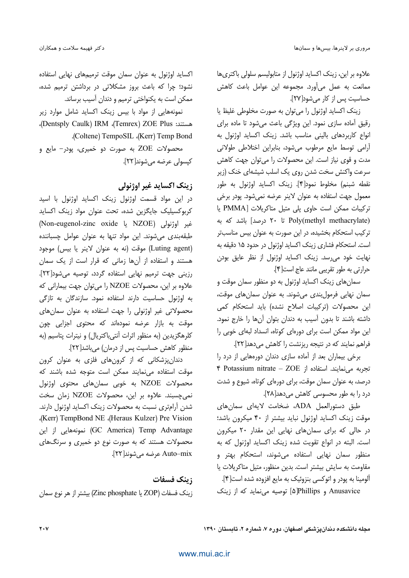علاوه بر این، زینک اکساید اوژنول از متابولیسم سلولی باکتریها ممانعت به عمل می آورد. مجموعه این عوامل باعث کاهش حساسیت پس از کار می شود[۲۷].

زینک اکساید اوژنول را می توان به صورت مخلوطی غلیظ یا رقیق آماده سازی نمود. این ویژگی باعث میشود تا ماده برای انواع كاربردهاى بالينى مناسب باشد. زينك اكسايد اوژنول به آرامی توسط مایع مرطوب میشود، بنابراین اختلاطی طولانی مدت و قوی نیاز است. این محصولات را میتوان جهت کاهش سرعت واکنش سخت شدن روی یک اسلب شیشهای خنک (زیر نقطه شبنم) مخلوط نمود[۴]. زينک اکسايد اوژنول به طور معمول جهت استفاده به عنوان لاينر عرضه نمى شود. پودر برخى تركيبات ممكن است حاوى پلى متيل متاكريلات [PMMA يا Poly(methyl methacrylate) تا ۲۰ درصد] باشد که به ترکیب استحکام بخشیده، در این صورت به عنوان بیس مناسبتر است. استحکام فشاری زینک اکساید اوژنول در حدود ۱۵ دقیقه به نهایت خود می رسد. زینک اکساید اوژنول از نظر عایق بودن حرارتي به طور تقريبي مانند عاج است[۴].

سمانهای زینک اکساید اوژنول به دو منظور سمان موقت و سمان نهایی فرمولبندی میشوند. به عنوان سمانهای موقت، این محصولات (ترکیبات اصلاح نشده) باید استحکام کمی داشته باشند تا بدون آسیب به دندان بتوان آنها را خارج نمود. این مواد ممکن است برای دورهای کوتاه، انسداد لبهای خوبی را فراهم نمایند که در نتیجه ریزنشت را کاهش میدهد[۲۲].

برخی بیماران بعد از آماده سازی دندان دورههایی از درد را تجربه می نمایند. استفاده از Potassium nitrate - ZOE درصد، به عنوان سمان موقت، برای دورهای کوتاه، شیوع و شدت درد را به طور محسوسی کاهش می دهد[۲۸].

طبق دستورالعمل ADA، ضخامت لايهای سمانهای موقت زینک اکساید اوژنول نباید بیشتر از ۴۰ میکرون باشد؛ در حالی که برای سمانهای نهایی این مقدار ٢٠ میکرون است. البته در انواع تقویت شده زینک اکساید اوژنول که به منظور سمان نهایی استفاده می شوند، استحکام بهتر و مقاومت به سایش بیشتر است. بدین منظور، متیل متاکریلات یا ألومينا به پودر و اتوكسي بنزوئيك به مايع افزوده شده است[۴]. Anusavice و Phillips] توصیه می نماید که از زینک

اکساید اوژنول به عنوان سمان موقت ترمیمهای نهایی استفاده نشود؛ چرا که باعث بروز مشکلاتی در برداشتن ترمیم شده، ممکن است به یکنواختی ترمیم و دندان آسیب برساند.

نمونههایی از مواد با بیس زینک اکساید شامل موارد زیر هستند: Temrex) ZOE Plus)، Dentsply Caulk)، .(Coltene) TempoSIL .(Kerr) Temp Bond

محصولات ZOE به صورت دو خمیری، پودر- مایع و کیسولی عرضه می شوند[۲۲].

### زينک اکسايد غير اوژنولي

در این مواد قسمت اوژنول زینک اکساید اوژنول با اسید كربوكسيليك جايگزين شده، تحت عنوان مواد زينك اكسايد فير اوژنولى (NZOE يا NZOE) Non-eugenol-zinc oxide طبقهبندی می شوند. این مواد تنها به عنوان عوامل چسباننده (Luting agent) موقت (نه به عنوان لاينر يا بيس) موجود هستند و استفاده از آنها زمانی که قرار است از یک سمان رزینی جهت ترمیم نهایی استفاده گردد، توصیه می شود[۲۲]. علاوه بر این، محصولات NZOE را می توان جهت بیمارانی که به اوژنول حساسیت دارند استفاده نمود. سازندگان به تازگی محصولاتی غیر اوژنولی را جهت استفاده به عنوان سمانهای موقت به بازار عرضه نمودهاند که محتوی اجزایی چون كلرهگزيدين (به منظور اثرات آنتي باكتريال) و نيترات يتاسيم (به منظور كاهش حساسيت پس از درمان) مي باشد[٢٢].

دندانپزشکانی که از کرونهای فلزی به عنوان کرون موقت استفاده می نمایند ممکن است متوجه شده باشند که محصولات NZOE به خوبی سمانهای محتوی اوژنول نمی چسبند. علاوه بر این، محصولات NZOE زمان سخت شدن آرامتری نسبت به محصولات زینک اکساید اوژنول دارند. (Kerr) TempBond NE (Heraus Kulzer) Pre Vision GC America) Temp Advantage) نمونههایی از این محصولات هستند که به صورت نوع دو خمیری و سرنگهای Auto–mix عرضه مي شوند[٢٢].

#### زينك فسفات

زينک فسفات (ZOP يا Zinc phosphate) بيشتر از هر نوع سمان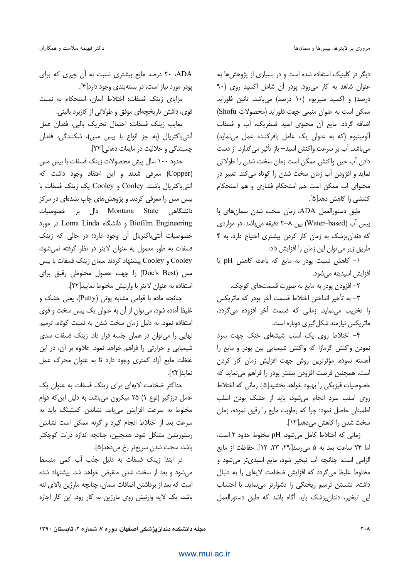دیگر در کلینیک استفاده شده است و در بسیاری از پژوهش ها به ء.<br>عنوان شاهد به کار میرود. بودر آن شامل اکسید روی (۹۰ درصد) و اکسید منیزیوم (۱۰ درصد) میباشد. تانین فلوراید ممكن است به عنوان منبعي جهت فلورايد (محصولات Shofu) .<br>ضافه گردد. مایع آن محتوی اسید فسفریک، آب و فسفات .<br>الومينيوم (كه به عنوان يك عامل بافركننده عمل مرنمايد) می باشد. آب بر سرعت واکنش اسید— باز تأثیر می گذارد. از دست دادن آب چین واکنش ممکن است زمان سخت شدن را طولان*ی* .<br>ماید و افزودن آب زمان سخ*ت* شدن را کوتاه مرکند. تغییر در J .<br>محتوای آب ممکن است هم استحکام فشاری و هم استحکام کششی را کاهش دهد[۵].

طبق دستورالعمل ADA، زمان سخت شدن سمانهای با بیس آب (Water–based) بین ۸–۲ دقیقه میباشد. در مواردی که دندان شک به زمان کار کردن بیشتری اجتیاج دارد، به ۴ طریق زیر می توان این زمان را افزایش داد:

1- كاهش نسبت پودر به مايع كه باعث كاهش pH يا افزایش اسیدیته می شود.

۲– افزودن بودر به مایع به صورت قسمتهای کوچک.

۳– به تأخیر انداختن اختلاط قسم*ت* آخر بودر که ماتریکس .<br>ا تخریب می نماید. زمانی که قسمت آخر افزوده م*ی گ*ردد، ماتریکس نیازمند شکل گیری دوباره است.

۴- اختلاط روی یک اسلب شیشهای خنک جهت سرد مودن واکنش گرمازا که واکنش شیمیایی بین بودر و مایع را J .<br>آهسته نموده، مؤثرترین روش حهت افزایش زمان کار کردن ُست. همجنبن فرصت افزودن بشتر بودر را فراهم مر نماید که خصوصيات فيزيكي را بهبود خواهد بخشيد[۵]. زماني كه اختلاط .<br>دی اسلب سرد انجام مرشود، باید از خشک بودن اسلب .<br>طمينان حاصل نمود؛ حرا كه رطوبت مايع را رقيق نموده، زمان سخ*ت* شدن را کاهش مے دهد[۱۲].

زمانی که اختلاط کامل میشود، pH مخلوط حدود ۲ است، اما ٢۴ ساعت بعد به ۵ می رسد[٢٩، ٢٣، ١٢]. حفاظت از مایع الزامی است. چنانچه آب تبخیر شود، مایع اسیدیتر میشود و مخلوط غليظ مي گردد كه افزايش ضخامت لايهاى را به دنبال .<br>داشته، نشستن ترمیم ریختگی را دشوارتر می نماید. با احتساب .<br>ابن تبخیر، دندان بزشک باید آگاه باشد که طبق دستورالعمل

۲۰ ADA درصد مایع بیشتری نسبت به اَن چیزی که برای یودر مورد نیاز اس*ت،* در بستهبندی وجود دارد[۴].

مزایای زبنک فسفات: اختلاط آسان، استحکام به نسبت قوى، داشتن تاريخچهاى موفق و طولانى از كاربرد بالينى.

معایب زینک فسفات: احتمال تحریک بالیے، فقدان عمل .<br>آنتے پاکتریال (به جز انواع یا پیس مس)، شکنندگی، فقدان چسبندگی و حلالیت در مایعات دهانی[۲۲].

حدود ۱۰۰ سال پیش محصولات زینک فسفات با بیس مس (Copper) معرفی شدند و این اعتقاد وجود داشت که آنتی باکتریال باشند. Cooley و Cooley یک زینک فسفات با بیس مس را معرفی کردند و پژوهشهای چاپ نشدهای در مرکز دانشگاهی Montana State دال بر خصوصیات و دانشگاه Loma Linda و دانشگاه Biofilm Engineering .<br>خصوصیات آنتے باکتریال آن وجود دارد؛ در حال*ی که* زبنک .<br>فسفات به طور معمول به عنوان لابند در نظر گرفته نمر شود، Cooley و Cooley ييشنهاد كردند سمان زينك فسفات با بيس مس (Doc's Best) را جهت حصول مخلوطی رقیق برای استفاده به عنوان لابنه با وارنیش مخلوط نمایید[۲۲].

چنانچه ماده با قوامی مشابه یوتی (Putty)، یعنی خشک و .<br>غليظ آماده شود، مرتوان از آن به عنوان يک پيس سخت و قوي .<br>استفاده نمود. به دلیل زمان سخ*ت* شدن به نسب*ت* کوتاه، ترمیم ۔<br>نهایی را می توان در همان جلسه قرار داد. زبنک فسفات سد*ی* .<br>شیمیایی و حرارتی را فراهم خواهد نمود. علاوه بر آن، در این .<br>غلظت مایع آزاد کمتری وجود دارد تا به عنوان محرک عمل نمايد[٢٢]. j

حداکثر ضخامت لایهای برای زینک فسفات به عنوان یک ۔<br>عامل درزگیر (نوع ۱) ۲۵ میکرون مرباشد. به دلیل این که قوام مخلوط به سرعت افزایش م*ر*باید، نشاندن کستینگ باید به سرعت بعد از اختلاط انجام گیرد و گرنه ممکن است نشاندن ، ستورشن مشکل شود. همچنین، جنانچه اندازه درات کوچکتر .<br>باشد، سخت شدن سریجتر رخ مے دھد[۵].

در ابتدا زبنک فسفات به دلیل جذب آب کمی منیسط مر شود و بعد از سخت شدن منقبض خواهد شد. بیشنهاد شده است که بعد از برداشتن اضافات سمان، جنانجه مارژین بالای لثه باشد، یک لایه وارنیش روی مارژین به کار رود. این کار اجازه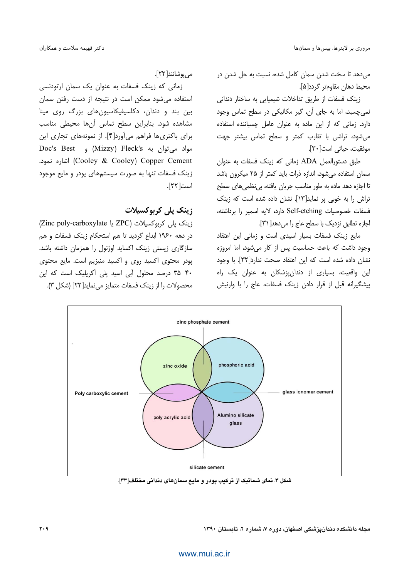.<br>مردهد تا سخت شدن سمان کامل شده، نسبت به جل شدن در ،<br>محیط دھان مقاومتر گردد[۵].

رنک فسفات از طریق تداخلات شیمیایی به ساختار دندانی مرحسید، اما به جای آن، گیر مکانیکی در سطح تماس وجود J .<br>دارد. زمانی که از این ماده به عنوان عامل حسباننده استفاده بر شود، تراشی با تقارب کمتر و سطح تماس بیشتر چهت موفقيت، حياتي است[٣٠].

طبق دستورالعمل ADA زمانی که زینک فسفات به عنوان سمان استفاده مرشود، اندازه ذرات باید کمتر از ۲۵ میکرون باشد نا اجازه دهد ماده به طور مناسب جریان بافته، به نظمه های سطح .<br>نراش را به خوبی بر نماید[۱۳]. نشان داده شده است که زبنک .<br>فسفات خصوصیات Self-etching دارد، لایه اسمیر را برداشته، اجازه تطابق نزدیک با سطح عاج را می دهد[ ۳۱].

مايع زينك فسفات بسيار اسيدى است و زمانى اين اعتقاد وجود داشت كه باعث حساسيت پس از كار مي شود، اما امروزه .<br>نشان داده شده است که این اعتقاد صحت ندارد[۳۲]. با وجود ابن واقعیت، بسیاری از دندان بزشکان به عنوان یک راه .<br>بیشگیرانه قبل از قرار دادن زبنک فسفات، عاج را با وارنش

مے یوشانند[۲۲].

زمانی که زبنک فسفات به عنوان یک سمان ارتودنسی .<br>استفاده می شود ممکن است در نتیجه از دست رفتن سمان سن بند و دندان، دکلسیفیکاسیون های بزرگ روی مینا مشاهده شود. بنابرابن سطح تماس آنها محيطي مناسب دای پاکتری ها فراهم مر آورد[۴]. از نمونههای تجاری این مواد می;قوان به Mizzy) Fleck's) و Doc's Best . 8! (Cooley & Cooley) Copper Cement زینک فسفات تنها به صورت سیستمهای پودر و مایع موجود است[ ٢٢].

### زینک پل<sub>ی</sub> کربوکسیلات

(Zinc poly-carboxylate يا ZPC) ZPC) izchoxylate (Zinc poly-carboxylate در دهه ۱۹۶۰ ابداع گردید تا هم استحکام زینک فسفات و هم سازگاری زیستی زبنک اکساید اوژنول را همزمان داشته باشد. یودر محتوی اکسید روی و اکسید منیزیم است. مایع محتوی ۴۰–۳۵ درصد محلول آبی اسید پلی آکریلیک است که این محصولات را از زبنک فسفات متمایز مربهاید[۲۲] (شکل ۳).

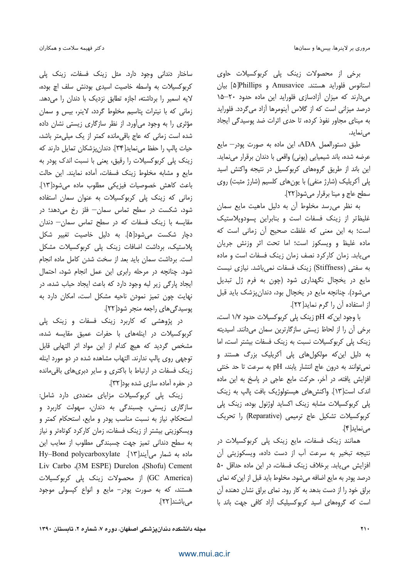برخی از محصولات زینک پلی کربوکسیلات حاوی استانوس فلورايد هستند. Anusavice و Phillips[۵] بيان می دارند که میزان آزادسازی فلوراید این ماده حدود ۲۰-۱۵ درصد میزانی است که از گلاس آینومرها آزاد می گردد. فلوراید به مینای مجاور نفوذ کرده، تا حدی اثرات ضد پوسیدگی ایجاد مے نماید.

طبق دستورالعمل ADA، این ماده به صورت پودر- مایع عرضه شده، باند شیمیایی (یونی) واقعی با دندان برقرار مینماید. این باند از طریق گروههای کربوکسیل در نتیجه واکنش اسید پلی آکریلیک (شارژ منفی) با یونهای کلسیم (شارژ مثبت) روی سطح عاج و مينا برقرار مي شود [٢٢].

به نظر می رسد مخلوط آن به دلیل ماهیت مایع سمان غلیظتر از زینک فسفات است و بنابراین پسودوپلاستیک است؛ به این معنی که غلظت صحیح آن زمانی است که ماده غليظ و ويسكوز است؛ اما تحت اثر وزنش جريان می یابد. زمان کارکرد نصف زمان زینک فسفات است و ماده به سفتی (Stiffness) زینک فسفات نمیباشد. نیازی نیست مایع در یخچال نگهداری شود (چون به فرم ژل تبدیل می شود). چنانچه مایع در یخچال بود، دندانپزشک باید قبل از استفاده آن را گرم نماید[۲۲].

با وجود این که pH زینک پلی کربوکسیلات حدود ۱/۷ است، برخی أن را از لحاظ زیستی سازگارترین سمان میدانند. اسیدیته زینک پلی کربوکسیلات نسبت به زینک فسفات بیشتر است، اما به دلیل این که مولکولهای پلی آکریلیک بزرگ هستند و نمي توانند به درون عاج انتشار يابند، pH به سرعت تا حد خنثى افزایش یافته، در آخر، حرکت مایع عاجی در پاسخ به این ماده اندک است[۱۳]. واکنش های هیستولوژیک بافت پالپ به زینک یلی کربوکسیلات مشابه زینک اکساید اوژنول بوده، زینک پلی كربوكسيلات تشكيل عاج ترميمي (Reparative) را تحريك می نماید[۴].

همانند زینک فسفات، مایع زینک پلی کربوکسیلات در نتيجه تبخير به سرعت آب از دست داده، ويسكوزيتي آن افزایش می یابد. برخلاف زینک فسفات، در این ماده حداقل ۵۰ درصد يودر به مايع اضافه مي شود. مخلوط بايد قبل از اين كه نماي براق خود را از دست بدهد به کار رود. نمای براق نشان دهنده آن است که گروههای اسید کربوکسیلیک آزاد کافی جهت باند با

ساختار دندانی وجود دارد. مثل زینک فسفات، زینک یلی کربوکسیلات به واسطه خاصیت اسیدی بودنش سلف اچ بوده، لایه اسمیر را برداشته، اجازه تطابق نزدیک با دندان را میدهد. زمانی که با نیترات پتاسیم مخلوط گردد، لاینر، بیس و سمان مؤثری را به وجود میآورد. از نظر سازگاری زیستی نشان داده شده است زمانی که عاج باقی مانده کمتر از یک میلی متر باشد، حيات يالب را حفظ مي نمايد[٣۴]. دندان پزشكان تمايل دارند كه زینک پلی کربوکسیلات را رقیق، یعنی با نسبت اندک پودر به مايع و مشابه مخلوط زينك فسفات، آماده نمايند. اين حالت باعث كاهش خصوصيات فيزيكي مطلوب ماده مي شود[١٣]. زمانی که زینک پلی کربوکسیلات به عنوان سمان استفاده شود، شکست در سطح تماس سمان— فلز رخ میدهد؛ در مقایسه با زینک فسفات که در سطح تماس سمان— دندان دچار شکست میشود[۵]. به دلیل خاصیت تغییر شکل پلاستیک، برداشت اضافات زینک پلی کربوکسیلات مشکل است. برداشت سمان باید بعد از سخت شدن کامل ماده انجام شود. چنانچه در مرحله رابری این عمل انجام شود، احتمال ایجاد پارگی زیر لبه وجود دارد که باعث ایجاد حباب شده، در نهایت چون تمیز نمودن ناحیه مشکل است، امکان دارد به پوسیدگیهای راجعه منجر شود[۲۲].

در پژوهشی که کاربرد زینک فسفات و زینک پلی کربوکسیلات در اینلههای با حفرات عمیق مقایسه شده، مشخص گردید که هیچ کدام از این مواد اثر التهابی قابل توجهی روی پالپ ندارند. التهاب مشاهده شده در دو مورد اینله زینک فسفات در ارتباط با باکتری و سایر دبریهای باقی مانده در حفره آماده سازی شده بود[۳۲].

زینک پلی کربوکسیلات مزایای متعددی دارد شامل: سازگاری زیستی، چسبندگی به دندان، سهولت کاربرد و استحکام. نیاز به نسبت مناسب پودر و مایع، استحکام کمتر و ویسکوزیتی بیشتر از زینک فسفات، زمان کارکرد کوتاهتر و نیاز به سطح دندانی تمیز جهت چسبندگی مطلوب از معایب این ماده به شمار می آیند[۱۳]. Hy-Bond polycarboxylate Liv Carbo (3M ESPE) Durelon (Shofu) Cement (GC America) از محصولات زینک پلی کربوکسیلات هستند، که به صورت پودر- مایع و انواع کپسولی موجود مے باشند[ ٢٢].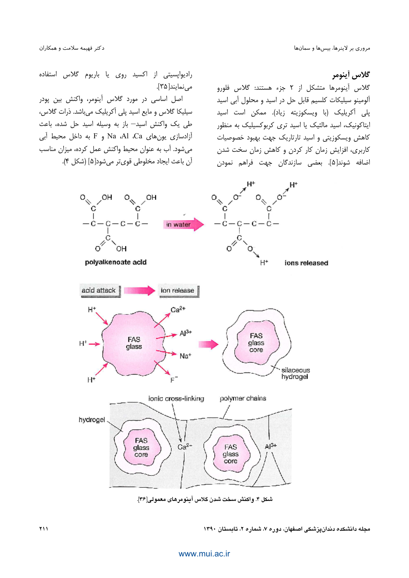گلاس أينومر

گلاس آینومرها متشکل از ۲ جزء هستند: گلاس فلورو آلومینو سیلیکات کلسیم قابل حل در اسید و محلول آبی اسید پلی آکریلیک (با ویسکوزیته زیاد). ممکن است اسید ایتاکونیک، اسید مالئیک یا اسید تری کربوکسیلیک به منظور کاهش ویسکوزیتی و اسید تارتاریک جهت بهبود خصوصیات کاربری، افزایش زمان کار کردن و کاهش زمان سخت شدن اضافه شوند[۵]. بعضی سازندگان جهت فراهم نمودن

رادیواپسیتی از اکسید روی یا باریوم گلاس استفاده می نمایند[۳۵].

اصل اساسی در مورد گلاس آینومر، واکنش بین یودر سیلیکا گلاس و مایع اسید پلی آکریلیک میباشد. ذرات گلاس، طی یک واکنش اسید— باز به وسیله اسید حل شده، باعث آزادسازی یونهای Na Al ،Ca و F به داخل محیط آبی می شود. آب به عنوان محیط واکنش عمل کرده، میزان مناسب آن باعث ايجاد مخلوطي قوي تر مي شود[۵] (شكل ۴).



شكل ۴. واكنش سخت شدن كلاس آينومرهاي معمولي[٣۶].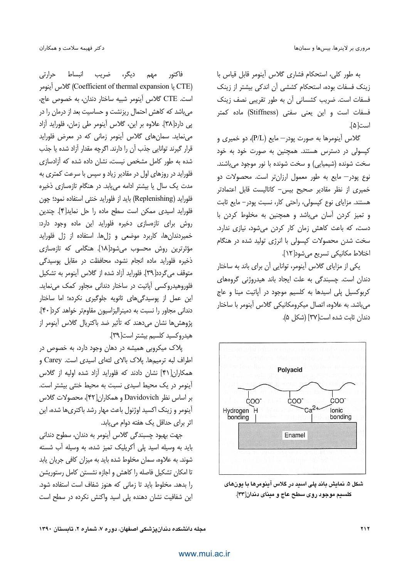به طور كلي، استحكام فشارى گلاس أينومر قابل قياس با زینک فسفات بوده، استحکام کششی آن اندکی بیشتر از زینک فسفات است. ضریب کشسانی آن به طور تقریبی نصف زینک فسفات است و این یعنی سفتی (Stiffness) ماده کمتر است[۵].

گلاس اًینومرها به صورت پودر—مایع (P/L)، دو خمیری و کپسولی در دسترس هستند. همچنین به صورت خود به خود سخت شونده (شیمیایی) و سخت شونده با نور موجود میباشند. نوع پودر— مایع به طور معمول ارزانتر است. محصولات دو خمیری از نظر مقادیر صحیح بیس- کاتالیست قابل اعتمادتر هستند. مزایای نوع کیسولی، راحتی کار، نسبت پودر – مایع ثابت و تميز كردن آسان مى باشد و همچنين به مخلوط كردن با دست، که باعث کاهش زمان کار کردن میشود، نیازی ندارد. سخت شدن محصولات کیسولی با انرژی تولید شده در هنگام اختلاط مكانيكي تسريع مي شود [١٢].

یکی از مزایای گلاس آینومر، توانایی آن برای باند به ساختار دندان است. چسبندگی به علت ایجاد باند هیدروژنی گروههای کربوکسیل پلی اسیدها به کلسیم موجود در آیاتیت مینا و عاج می باشد. به علاوه، اتصال میکرومکانیکی گلاس آینومر با ساختار دندان ثابت شده است[٣٧] (شكل ۵).



شکل ۵. نمایش باند پلی اسید در گلاس آینومرها با یونهای کلسیم موجود روی سطح عاج و مینای دندان[۳۳].

مهم دیگر، ضریب انبساط حرارتی فاكتور (Coefficient of thermal expansion لاس آينومر Coefficient of thermal است. CTE گلاس أينومر شبيه ساختار دندان، به خصوص عاج، می باشد که کاهش احتمال ریزنشت و حساسیت بعد از درمان را در یی دارد[۳۸]. علاوہ بر این، گلاس آینومر طی زمان، فلوراید آزاد می نماید. سمان های گلاس آینومر زمانی که در معرض فلوراید قرار گیرند توانایی جذب آن را دارند. اگرچه مقدار آزاد شده یا جذب شده به طور کامل مشخص نیست، نشان داده شده که آزادسازی فلوراید در روزهای اول در مقادیر زیاد و سپس با سرعت کمتری به مدت یک سال یا بیشتر ادامه می یابد. در هنگام تازهسازی ذخیره فلورايد (Replenishing) بايد از فلورايد خنثى استفاده نمود؛ چون فلورايد اسيدي ممكن است سطح ماده را حل نمايد[۴]. چندين روش برای تازهسازی دخیره فلوراید این ماده وجود دارد: خمیردندانها، کاربرد موضعی و ژلها. استفاده از ژل فلوراید مؤثرترین روش محسوب میشود[۱۸]. هنگامی که تازهسازی ذخیره فلوراید ماده انجام نشود، محافظت در مقابل پوسیدگی متوقف می گردد[۳۹]. فلوراید آزاد شده از گلاس آینومر به تشکیل فلوروهیدروکسی آیاتیت در ساختار دندانی مجاور کمک می نماید. این عمل از یوسیدگی های ثانویه جلوگیری نکرده؛ اما ساختار دندانی مجاور را نسبت به دمینرالیزاسیون مقاومتر خواهد کرد[۴۰]. پژوهشها نشان میدهند که تأثیر ضد باکتریال گلاس آینومر از هيدروكسيد كلسيم بيشتر است[٣٩].

پلاک میکروبی همیشه در دهان وجود دارد، به خصوص در اطراف لبه ترمیمها. یلاک بالای لثهای اسیدی است. Carey و همکاران[۴۱] نشان دادند که فلوراید آزاد شده اولیه از گلاس أينومر در يک محيط اسيدي نسبت به محيط خنثى بيشتر است. بر اساس نظر Davidovich و همكاران[۴۲]، محصولات گلاس آینومر و زینک اکسید اوژنول باعث مهار رشد باکتری ها شده، این اثر برای حداقل یک هفته دوام مییابد.

جهت بهبود چسبندگی گلاس آینومر به دندان، سطوح دندانی باید به وسیله اسید یلی آکریلیک تمیز شده، به وسیله آب شسته شوند. به علاوه، سمان مخلوط شده باید به میزان کافی جریان پابد تا امکان تشکیل فاصله را کاهش و اجازه نشستن کامل رستوریشن را بدهد. مخلوط باید تا زمانی که هنوز شفاف است استفاده شود. این شفافیت نشان دهنده پلی اسید واکنش نکرده در سطح است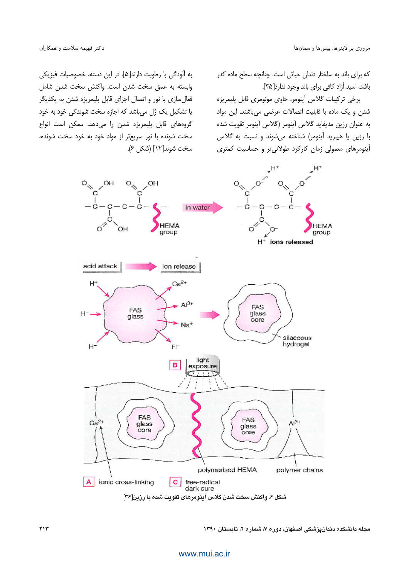که برای باند به ساختار دندان حیاتی است. چنانچه سطح ماده کدر باشد، اسید آزاد کافی برای باند وجود ندارد[۳۵].

برخي تركيبات گلاس أينومر، حاوى مونومرى قابل پليمريزه شدن و یک ماده با قابلیت اتصالات عرضی میباشند. این مواد به عنوان رزين مديفايد گلاس أينومر (گلاس أينومر تقويت شده با رزین یا هیبرید آینومر) شناخته میشوند و نسبت به گلاس آینومرهای معمولی زمان کارکرد طولانی تر و حساسیت کمتری

به آلودگی با رطوبت دارند[۵]. در این دسته، خصوصیات فیزیکی وابسته به عمق سخت شدن است. واكنش سخت شدن شامل فعال سازی با نور و اتصال اجزای قابل پلیمریزه شدن به یکدیگر یا تشکیل یک ژل میباشد که اجازه سخت شوندگی خود به خود گروههای قابل پلیمریزه شدن را می دهد. ممکن است انواع سخت شونده با نور سریعتر از مواد خود به خود سخت شونده، سخت شوند[۱۲] (شکل ۶).

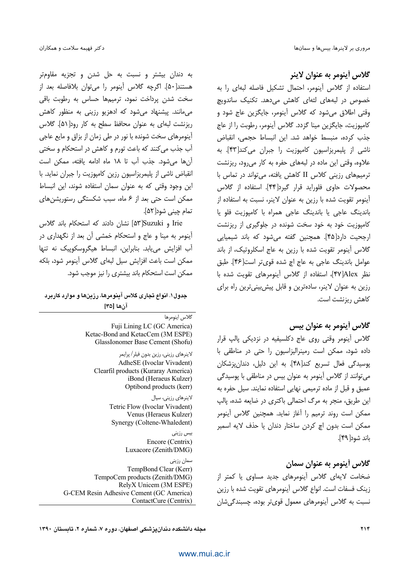### گلاس أينومر به عنوان لاينر

استفاده از گلاس آینومر، احتمال تشکیل فاصله لبهای را به خصوص در لبههای لثهای کاهش میدهد. تکنیک ساندویچ وقتي اطلاق مي شود كه گلاس آينومر، جايگزين عاج شود و كاميوزيت، جايگزين مينا گزدد. گلاس آينومر، رطوبت را از عاج جذب كرده، منبسط خواهد شد. این انبساط حجمی، انقباض ناشی از پلیمریزاسیون کامپوزیت را جبران میکند[۴۳]. به علاوه، وقتی این ماده در لبههای حفره به کار می رود، ریزنشت ترمیههای رزینی کلاس II کاهش یافته، می تواند در تماس با محصولات حاوى فلورايد قرار گيرد[۴۴]. استفاده از گلاس آینومر تقویت شده با رزین به عنوان لاینر، نسبت به استفاده از باندينگ عاجي يا باندينگ عاجي همراه با كامپوزيت فلو يا کامپوزیت خود به خود سخت شونده در جلوگیری از ریزنشت ارجحيت دارد[۴۵]. همچنين گفته مي شود كه باند شيميايي گلاس آینومر تقویت شده با رزین به عاج اسکلروتیک، از باند عوامل باندينگ عاجي به عاج اچ شده قوي تر است[۴۶]. طبق نظر ۴۷]Alex]، استفاده از گلاس آینومرهای تقویت شده با رزین به عنوان لاینر، سادهترین و قابل پیش بینی ترین راه برای کاهش ریزنشت است.

## گلاس أينومر به عنوان بيس

گلاس أينومر وقتى روى عاج دكلسيفيه در نزديكى پالپ قرار داده شود، ممکن است رمینرالیزاسیون را حتی در مناطقی با يوسيدگي فعال تسريع كند[۴۸]. به اين دليل، دندان يزشكان می توانند از گلاس آینومر به عنوان بیس در مناطقی با پوسیدگی عمیق و قبل از ماده ترمیمی نهایی استفاده نمایند. سیل حفره به این طریق، منجر به مرگ احتمالی باکتری در ضایعه شده، پالپ ممكن است روند ترميم را آغاز نمايد. همچنين گلاس آينومر ممكن است بدون اچ كردن ساختار دندان يا حذف لايه اسمير باند شود[۴۹].

گلاس أينومر به عنوان سمان ضخامت لایهای گلاس آینومرهای جدید مساوی یا کمتر از زینک فسفات است. انواع گلاس آینومرهای تقویت شده با رزین نسبت به گلاس اَینومرهای معمول قویتر بوده، چسبندگیِشان

به دندان بیشتر و نسبت به حل شدن و تجزیه مقاومتر هستند[۵۰]. اگرچه گلاس آینومر را میتوان بلافاصله بعد از سخت شدن پرداخت نمود، ترمیمها حساس به رطوبت باقی میمانند. پیشنهاد میشود که ادهزیو رزینی به منظور کاهش ریزنشت لبهای به عنوان محافظ سطح به کار رود[۵۱]. گلاس آینومرهای سخت شونده با نور در طی زمان از بزاق و مایع عاجی آب جذب می کنند که باعث تورم و کاهش در استحکام و سختی آن ها می شود. جذب آب تا ۱۸ ماه ادامه یافته، ممکن است انقباض ناشی از پلیمریزاسیون رزین کامپوزیت را جبران نماید. با این وجود وقتی که به عنوان سمان استفاده شوند، این انبساط ممکن است حتی بعد از ۶ ماه، سبب شکستگی رستوریشنهای تمام چيني شود[۵۲].

Irie و Suzuki[۵۳] نشان دادند که استحکام باند گلاس آینومر به مینا و عاج و استحکام خمشی آن بعد از نگهداری در آب افزایش می یابد. بنابراین، انبساط هیگروسکوپیک نه تنها ممكن است باعث افزايش سيل لبهاى گلاس آينومر شود، بلكه ممکن است استحکام باند بیشتری را نیز موجب شود.

#### جدول ۱. انواع تجاری گلاس آینومرها، رزینها و موارد کاربرد آنها [۳۵

گلاس اينومرها Fuji Lining LC (GC America) Ketac-Bond and KetacCem (3M ESPE) GlassIonomer Base Cement (Shofu)

لاینرهای رزینی، رزین بدون فیلر/ پرایمر AdheSE (Ivoclar Vivadent) Clearfil products (Kuraray America) iBond (Heraeus Kulzer) Optibond products (kerr)

> لاینرهای رزینی، سیال Tetric Flow (Ivoclar Vivadent) Venus (Heraeus Kulzer) Synergy (Coltene-Whaledent)

> > بیس رزینی Encore (Centrix) Luxacore (Zenith/DMG)

سمان رزينى TempBond Clear (Kerr) TempoCem products (Zenith/DMG) RelyX Unicem (3M ESPE) G-CEM Resin Adhesive Cement (GC America) ContactCure (Centrix)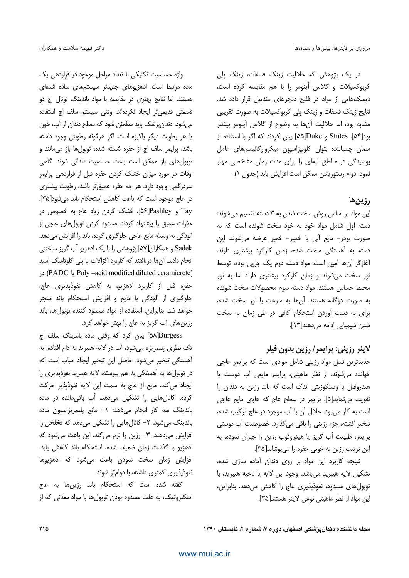در یک پژوهش که حلالیت زینک فسفات، زینک پلی كربوكسيلات وكلاس أينومر را با هم مقايسه كرده است، دیسکهایی از مواد در فلنج دنجرهای مندیبل قرار داده شد. نتایج زینک فسفات و زینک پلی کربوکسیلات به صورت تقریبی مشابه بود، اما حلاليت آنها به وضوح از گلاس آينومر بيشتر بود[۵۴]. Stutes و Duke[۵۵] بیان کردند که اگر با استفاده از سمان چسباننده بتوان کلونیزاسیون میکروارگانیسمهای عامل یوسیدگی در مناطق لبهای را برای مدت زمان مشخصی مهار نمود، دوام رستوريشن ممكن است افزايش يابد (جدول ١).

#### رزين ها

این مواد بر اساس روش سخت شدن به ۳ دسته تقسیم می شوند: دسته اول شامل مواد خود به خود سخت شونده است كه به صورت پودر- مایع آلی یا خمیر- خمیر عرضه میشوند. این دسته به آهستگی سخت شده، زمان کارکرد بیشتری دارند. آغازگر آنها آمین است. مواد دسته دوم یک جزیی بوده، توسط نور سخ*ت می*شوند و زمان کارکرد بیشتری دارند اما به نور محيط حساس هستند. مواد دسته سوم محصولات سخت شونده به صورت دوگانه هستند. آنها به سرعت با نور سخت شده، برای به دست آوردن استحکام کافی در طی زمان به سخت شدن شیمیایی ادامه می دهند[۱۳].

## لاينر رزيني: پرايمر/ رزين بدون فيلر

جدیدترین نسل مواد رزینی شامل موادی است که پرایمر عاجی خوانده می شوند. از نظر ماهیتی، پرایمر مایعی آب دوست یا هیدروفیل با ویسکوزیتی اندک است که باند رزین به دندان را تقویت می نماید[۵]. پرایمر در سطح عاج که حاوی مایع عاجی است به کار می رود. حلال آن با آب موجود در عاج ترکیب شده، تبخير گشته، جزء رزيني را باقي مي گذارد. خصوصيت آب دوستي پرايمر، طبيعت آب گريز يا هيدروفوب رزين را جبران نموده، به این ترتیب رزین به خوبی حفره را میپوشاند[۳۵].

نتیجه کاربرد این مواد بر روی دندان آماده سازی شده، تشكيل لايه هيبريد مىباشد. وجود اين لايه يا ناحيه هيبريد، با توبول هاي مسدود، نفوذيذيري عاج را كاهش مي دهد. بنابراين، این مواد از نظر ماهیتی نوعی لاینر هستند[۳۵].

واژه حساسیت تکنیکی با تعداد مراحل موجود در قراردهی یک ماده مرتبط است. ادهزیوهای جدیدتر سیستمهای ساده شدهای هستند، اما نتایج بهتری در مقایسه با مواد باندینگ توتال اچ دو قسمتی قدیمیتر ایجاد نکردهاند. وقتی سیستم سلف اچ استفاده می شود، دندان پزشک باید مطمئن شود که سطح دندان از آب، خون یا هر رطوبت دیگر پاکیزه است. اگر هرگونه رطوبتی وجود داشته باشد، پرايمر سلف اچ از حفره شسته شده، توبولها باز مى مانند و توبول های باز ممکن است باعث حساسیت دندانی شوند. گاهی اوقات در مورد میزان خشک کردن حفره قبل از قراردهی پرایمر سردرگمی وجود دارد. هر چه حفره عمیقتر باشد، رطوبت بیشتری در عاج موجود است كه باعث كاهش استحكام باند مى شود[٣۵]. Tay و Pashley] مخشک کردن زیاد عاج به خصوص در حفرات عمیق را پیشنهاد کردند. مسدود کردن توبولهای عاجی از آلودگی به وسیله مایع عاجی جلوگیری کرده، باند را افزایش میدهد. Sadek و همکاران[۵۷] پژوهشی را با یک ادهزیو آب گریز ساختنی انجام دادند. آنها دریافتند که کاربرد اگزالات یا پلی گلوتامیک اسید Poly -acid modified diluted ceramicrete) در حفره قبل از کاربرد ادهزیو، به کاهش نفوذیذیری عاج، جلوگیری از آلودگی با مایع و افزایش استحکام باند منجر خواهد شد. بنابراین، استفاده از مواد مسدود کننده توبولها، باند رزینهای آب گریز به عاج را بهتر خواهد کرد.

۵۸ Burgess] بيان كرد كه وقتى ماده باندينگ سلف اچ تک بطری پلیمریزه میشود، آب در لایه هیبرید به دام افتاده، به آهستگی تبخیر می شود. حاصل این تبخیر ایجاد حباب است که در توبولها به آهستگی به هم پیوسته، لایه هیبرید نفوذیذیری را ایجاد می کند. مایع از عاج به سمت این لایه نفوذپذیر حرکت کرده، کانالهایی را تشکیل می دهد. آب باقی مانده در ماده باندینگ سه کار انجام می دهد: ١- مانع پلیمریزاسیون ماده باندینگ میشود. ۲– کانالهایی را تشکیل میدهد که تخلخل را افزایش میدهند. ۳- رزین را نرم می کند. این باعث می شود که ادهزيو با گذشت زمان ضعيف شده، استحكام باند كاهش يابد. افزایش زمان سخت نمودن باعث میشود که ادهزیوها نفوذپذیری کمتری داشته، با دوامتر شوند.

گفته شده است که استحکام باند رزینها به عاج اسکلروتیک، به علت مسدود بودن توبولها با مواد معدنی که از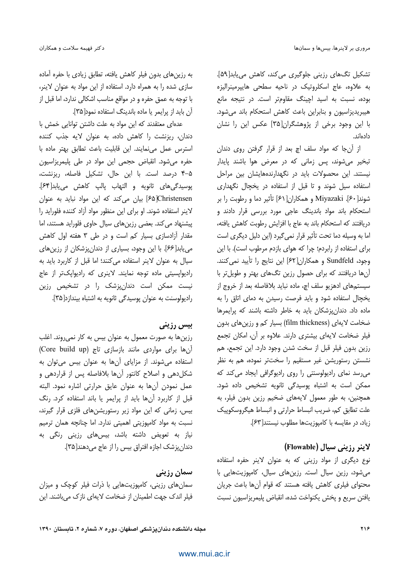تشکیل تگھای رزینی جلوگیری می کند، کاهش می یابد[۵۹]. به علاوه، عاج اسکلروتیک در ناحیه سطحی هایپرمینرالیزه بوده، نسبت به اسید اچینگ مقاومتر است. در نتیجه مانع هیبریدیزاسیون و بنابراین باعث کاهش استحکام باند می شود. با این وجود برخی از پژوهشگران[۳۵] عکس این را نشان دادەاند.

از آن جا که مواد سلف اچ بعد از قرار گرفتن روی دندان تبخیر میشوند، پس زمانی که در معرض هوا باشند پایدار نیستند. این محصولات باید در نگهدارندههایشان بین مراحل استفاده سیل شوند و تا قبل از استفاده در یخچال نگهداری شوند[ ۶۰]. Miyazaki و همكاران[۶۱] تأثير دما و رطوبت را بر استحکام باند مواد باندینگ عاجی مورد بررسی قرار دادند و دريافتند كه استحكام باند به عاج با افزايش رطوبت كاهش يافته، اما به وسیله دما تحت تأثیر قرار نمی گیرد (این دلیل دیگری است برای استفاده از رابردم؛ چرا که هوای بازدم مرطوب است). با این وجود، Sundfeld و همكاران[۶۲] اين نتايج را تأييد نمي كنند. أنها دریافتند که برای حصول رزین تگهای بهتر و طویلتر با سیستمهای ادهزیو سلف اچ، ماده نباید بلافاصله بعد از خروج از يخچال استفاده شود و بايد فرصت رسيدن به دماى اتاق را به ماده داد. دندانپزشکان باید به خاطر داشته باشند که پرایمرها ضخامت لایهای (film thickness) بسیار کم و رزین های بدون فیلر ضخامت لایهای بیشتری دارند. علاوه بر آن، امکان تجمع رزين بدون فيلر قبل از سخت شدن وجود دارد. اين تجمع، هم نشستن رستوریشن غیر مستقیم را سختتر نموده، هم به نظر می رسد نمای رادیولوسنتی را روی رادیوگرافی ایجاد می کند که ممکن است به اشتباه پوسیدگی ثانویه تشخیص داده شود. همچنین، به طور معمول لایههای ضخیم رزین بدون فیلر، به علت تطابق کم، ضریب انبساط حرارتی و انبساط هیگروسکوپیک زياد، در مقايسه با كاميوزيتها مطلوب نيستند[۶۳].

#### لاینر رزینی سیال (Flowable)

نوع دیگری از مواد رزینی که به عنوان لاینر حفره استفاده می شود، رزین سیال است. رزین های سیال، کامپوزیت هایی با محتوای فیلری کاهش یافته هستند که قوام آنها باعث جریان يافتن سريع ويخش يكنواخت شده، انقباض يليمريزاسيون نسبت

به رزین های بدون فیلر کاهش یافته، تطابق زیادی با حفره آماده سازی شده را به همراه دارد. استفاده از این مواد به عنوان لاینر، با توجه به عمق حفره و در مواقع مناسب اشكالي ندارد، اما قبل از آن باید از پرایمر یا ماده باندینگ استفاده نمود[۳۵].

عدهای معتقدند که این مواد به علت داشتن توانایی خمش با دندان، ریزنشت را کاهش داده، به عنوان لایه جذب کننده استرس عمل مى نمايند. اين قابليت باعث تطابق بهتر ماده با حفره می شود. انقباض حجمی این مواد در طی پلیمریزاسیون ۵-۴ درصد است. با این حال، تشکیل فاصله، ریزنشت، يوسيدگي هاي ثانويه و التهاب يالپ كاهش مي يابد[۶۴]. Christensen][۶۵] بیان می کند که این مواد نباید به عنوان لاینر استفاده شوند. او برای این منظور مواد آزاد کننده فلوراید را پیشنهاد می کند. بعضی رزینهای سیال حاوی فلوراید هستند، اما مقدار آزادسازی بسیار کم است و در طی ۳ هفته اول کاهش می یابد[۶۶]. با این وجود، بسیاری از دندان پزشکان از رزینهای سیال به عنوان لاینر استفاده می کنند؛ اما قبل از کاربرد باید به رادیواپسیتی ماده توجه نمایند. لاینری که رادیواپکتر از عاج نیست ممکن است دندان،پزشک را در تشخیص رزین رادیولوسنت به عنوان یوسیدگی ثانویه به اشتباه بیندازد[۳۵].

#### بیس رزینی

رزینها به صورت معمول به عنوان بیس به کار نمی روند. اغلب آن ها برای مواردی مانند بازسازی تاج (Core build up) استفاده می شوند. از مزایای آنها به عنوان بیس می توان به شکل دهی و اصلاح کانتور آنها بلافاصله پس از قراردهی و عمل نمودن أنها به عنوان عايق حرارتي اشاره نمود. البته قبل از کاربرد آنها باید از پرایمر یا باند استفاده کرد. رنگ بیس، زمانی که این مواد زیر رستوریشنهای فلزی قرار گیرند، نسبت به مواد کامپوزیتی اهمیتی ندارد. اما چنانچه همان ترمیم نیاز به تعویض داشته باشد، بیسهای رزینی رنگی به دندانپزشک اجازه افتراق بیس را از عاج میدهند[۳۵].

سمان رزینی

سمان های رزینی، کامپوزیتهایی با ذرات فیلر کوچک و میزان فیلر اندک جهت اطمینان از ضخامت لایهای نازک می باشند. این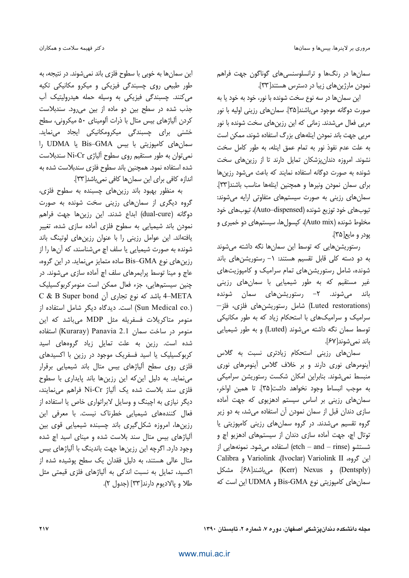.<br>سمان ها در رنگها و ترانسلوسنسے های گوناگون جهت فراهم <sub>هودن</sub> مارژینهای زبیا در دسترس هستند[۳۳]. J

.<br>ابن سمانها در سه نوع سخت شونده با نور، خود به خود با به صورت دوگانه موجود مے باشند[۳۵]. سمان های رزینی اولیه یا نور مریی فعال میشدند. زمانی که این رزینهای سخت شونده با نور مربی حقت باند نمودن اینلههای بزرگ استفاده شوند، ممکن است به علت عدم نفوذ نور به تمام عمق ابنله، به طور كامل سخ*ت* نشوند. امروزه دندان نشکان تمایل دارند تا از رزین های سخت شونده به صورت دوگانه استفاده نمایند که باعث مرشود .زبن ها .<br>برای سمان نمودن ونیرها و همچنین اینلهها مناسب باشند[۳۳]. .<br>سمان های رزینی به صورت سیستههای متفاوتی ارایه مرشوند: تيوبهاي خود توزيع شونده (Auto–dispensed)، تيوبهاي خود .<br>مخلوط شونده (Auto mix)، کیسول ها، سیستمهای دو خمیری و يودر و مايع[۳۵].

،ستورشن هایی که توسط این سمانها نگه داشته میشوند به دو دسته کلی قابل تقسیم هستند: ١- رستوریشنهای باند .<br>شونده، شامل رستوریشن های تمام سرامیک و کامپوزیت های .<br>غیر مستقیم که به طور شیمیایی با سمانها*ی* رزبنی .<br>باند میشوند. ۲– رستوریشنهای سمان شونده –لاب (Luted restorations) شامل رستوریشنهای فلزی، فلز سرامیک و سرامیکهای با استحکام زیاد که به طور مکانیکی .<br>نوسط سمان نگه داشته می شوند (Luted) و به طور شیمیایی .<br>باند نمه شوند[۶۷].

سمان های رزینی استحکام زبادتری نسبت به گلاس آینومرهای نوری دارند و بر خلاف گلاس آینومرهای نوری منبسط نمر شوند. بنابراین امکان شکس*ت* رستوریشن سرامیک*ی* يه موجب انبساط وجود نخواهد داشت[۳۵]. تا همین اواخر، ۔<br>سمان های رزینی پر اساس سیستم ادهزیوی که چهت آماده .<br>سازی دندان قبل از سمان نمودن آن استفاده مرشد، به دو زبر گروه تقسیم مرشدند. در گروه سمان های رزینی کامپوزیتی با .<br>نوتال اچ، جهت آماده سازی دندان از سیست<sub>ه</sub>های ادهزیو اچ و .<br>شستشو (etch – and – rinse) استفاده می شود. نمونههایی از Calibra و Variolink (Ivoclar) Variolink II و Calibra (Dentsply) و Kerr) Nexus) می باشند[۶۸]. مشکل سمانهای کامپوزیتی نوع Bis-GMA و UDMA این است که

ابن سمانها به خوبی با سطوح فلزی باند نمر شوند. در نتیجه، به طور طبیعی روی چسبندگی فیزیکی و میکرو مکانیکی تکیه م کنند. حسندگی فیزیکی به وسله جمله هیدرولیتیک آب جذب شده در سطح بین دو ماده از بین می رود. سندبلاست کردن آلیاژهای پیس متال با ذرات آلومینای ۵۰ میکرون*ی*، سطح ۔<br>خشنی برای حسیندگی میکرومکانیکی ایجاد م*ی ن*ماید. سمانهای کامپوزیتی با بیس Bis–GMA یا UDMA را میتوان به طور مستقیم روی سطوح آلیاژی Ni-Cr سندبلاست j .<br>شده استفاده نمود. همحنین باند سطوح فلزی سندبلاست شده به اندازه کافی برای این سمانها کافی نمی باشد[۳۳].

به منظور بهبود باند رزینهای چسبنده به سطوح فلزی، گروه دیگری از سمانهای رزبنی سخت شونده به صورت دوگانه (dual-cure) ابداع شدند. این رزینِها جهت فراهم مودن باند شیمیایی به سطوح فلزی آماده سازی شده، تغییر j بافته|ند. این عوامل رزینی را با عنوان رزین های لوتینگ باند شونده به صورت شیمیایی با سلف اچ مرشناسند، که آن ها را از رزینهای نوع Bis–GMA ساده متمایز مینماید. در این گروه، عاج و مينا توسط برايمرها*ي* سلف اڃ آماده ساز*ي مي*شوند. در حنین سیستہھایے، جزء فعال ممکن اس*ت* منومرکرہوکسیلیک  $\rm C\,\,\&\,\,B$  Super bond - باشد که نوع تجاری اَن  $\rm 4\text{-} META$ (Sun Medical co.) است. دیدگاه دیگر شامل استفاده از منومر متاکریلات فسفریله مثل MDP میباشد که این منومر در ساخت سمان Kuraray) Panavia 2.1 استفاده شده اس*ت.* زبن به علت تمایل زباد گروههای اسید کربوکسیلیک یا اسید فسفریک موجود در رزین با اکسیدهای .<br>فلزی روی سطح آلیاژهای بیس متال باند شیمیایی برقرار مرنماید. به دلیل این که این رزینها باند بایداری با سطوح .<br>فلزی سند بلاست شده یک آلیاژ Ni-Cr فراهم می،نمایند، دیگر نیازی به اچینگ و وسایل لابراتواری خاص یا استفاده از .<br>فعال کنندههای شیمیایی خطرناک نیست. با معرفی این رز بن ها، امروزه شکل گیری باند حسینده شیمیایی قوی بین آلیاژهای بیس متال سند بلاست شده و مینای اسید اچ شده وجود دارد. اگرچه این رزین ها جهت باندینگ با آلیاژهای بیس متال عالی هستند، به دلیل فقدان یک سطح بوشیده شده از اکسید، تمایل به نسبت اندکی به آلیاژهای فلزی قیمتی مثل طلا و يالاديوم دارند[٣٣] (جدول ٢).

**217** 1990 - 1990 - 1990 - 1990 - 1990 - 1990 - 1990 - 1990 - 1990 - 1990 - 1990 - 1990 - 1990 - 1990 - 1990 - 19 محله دانشکده دندان با شکی اصغهان، دوره ۷، شماره ۲، تابستار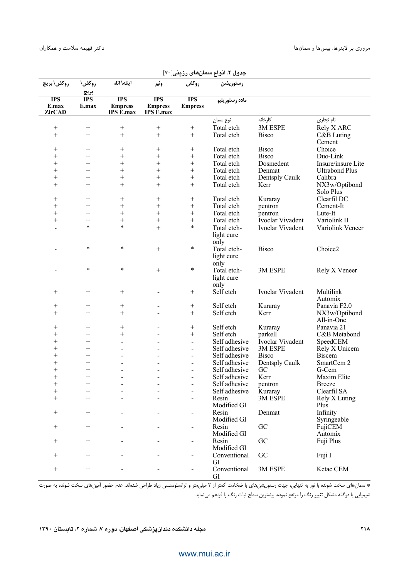| روكش\بريج                            | روكش\               | اينله\ انله                               | ونير                                      | روكش                         | رستوريشن           |                         |                            |
|--------------------------------------|---------------------|-------------------------------------------|-------------------------------------------|------------------------------|--------------------|-------------------------|----------------------------|
|                                      | بريج                |                                           |                                           |                              |                    |                         |                            |
| <b>IPS</b><br>E.max<br><b>ZirCAD</b> | <b>IPS</b><br>E.max | <b>IPS</b><br><b>Empress</b><br>IPS E.max | <b>IPS</b><br><b>Empress</b><br>IPS E.max | <b>IPS</b><br><b>Empress</b> | ماده رستوريتيو     |                         |                            |
|                                      |                     |                                           |                                           |                              | نوع سمان           | كارخانه                 | نام تجاري                  |
| $^{+}$                               | $^{+}$              |                                           | $^{+}$                                    |                              | Total etch         | 3M ESPE                 | Rely X ARC                 |
| $^{+}$                               | $+$                 | $+$                                       | $^{+}$                                    | $\boldsymbol{+}$             | Total etch         | <b>Bisco</b>            | C&B Luting                 |
|                                      |                     |                                           |                                           |                              |                    |                         | Cement                     |
| $^+$                                 | $^{+}$              | $^+$                                      | $^+$                                      | $^{+}$                       | Total etch         | <b>Bisco</b>            | Choice                     |
| $^{+}$                               | $^{+}$              | $^{+}$                                    | $^{+}$                                    | $\! + \!\!\!\!$              | Total etch         | <b>Bisco</b>            | Duo-Link                   |
| $^{+}$                               | $^{+}$              | $^{+}$                                    | $^{+}$                                    | $^{+}$                       | Total etch         | Dosmedent               | Insure/insure Lite         |
| $^{+}$<br>$^{+}$                     | $^{+}$              | $^{+}$                                    | $^{+}$                                    | $\! + \!\!\!\!$              | Total etch         | Denmat                  | <b>Ultrabond Plus</b>      |
| $^{+}$                               | $^{+}$<br>$^{+}$    | $^{+}$<br>$^{+}$                          | $^{+}$<br>$^{+}$                          | $^{+}$<br>$+$                | Total etch         | Dentsply Caulk          | Calibra                    |
|                                      |                     |                                           |                                           |                              | Total etch         | Kerr                    | NX3w/Optibond<br>Solo Plus |
| $^+$                                 | $^+$                | $^{+}$                                    | $^+$                                      | $^{+}$                       | Total etch         | Kuraray                 | Clearfil DC                |
| $^{+}$                               | $^{+}$              |                                           | $\! + \!$                                 | $\! + \!\!\!\!$              | Total etch         | pentron                 | Cement-It                  |
| $^{+}$                               | $^{+}$              | $^{+}$                                    | $^{+}$                                    | $\! + \!\!\!\!$              | Total etch         | pentron                 | Lute-It                    |
| $^{+}$                               | $^{+}$              | $^{+}$                                    | $^{+}$                                    | $\! + \!$                    | Total etch         | Ivoclar Vivadent        | Variolink II               |
|                                      | $\ast$              | $\ast$                                    | $^{+}$                                    | $\ast$                       | Total etch-        | Ivoclar Vivadent        | Variolink Veneer           |
|                                      |                     |                                           |                                           |                              | light cure<br>only |                         |                            |
|                                      | $\ast$              | $\ast$                                    | $^{+}$                                    | $\ast$                       | Total etch-        | <b>Bisco</b>            | Choice2                    |
|                                      |                     |                                           |                                           |                              | light cure         |                         |                            |
|                                      |                     |                                           |                                           |                              | only               |                         |                            |
|                                      | $\ast$              | $\ast$                                    | $^{+}$                                    | $\ast$                       | Total etch-        | 3M ESPE                 | Rely X Veneer              |
|                                      |                     |                                           |                                           |                              | light cure         |                         |                            |
|                                      |                     |                                           |                                           |                              | only               |                         |                            |
| $^{+}$                               | $^{+}$              | $^{+}$                                    |                                           | $^{+}$                       | Self etch          | Ivoclar Vivadent        | Multilink                  |
|                                      |                     |                                           |                                           |                              |                    |                         | Automix                    |
| $^{+}$                               | $^+$                | $^{+}$                                    | $\blacksquare$                            | $^{+}$                       | Self etch          | Kuraray                 | Panavia F2.0               |
| $+$                                  | $^{+}$              | $+$                                       |                                           | $+$                          | Self etch          | Kerr                    | NX3w/Optibond              |
|                                      |                     |                                           |                                           |                              |                    |                         | All-in-One                 |
| $\! + \!\!\!\!$                      | $\! + \!\!\!\!$     |                                           |                                           |                              | Self etch          | Kuraray                 | Panavia 21                 |
| $^{+}$                               | $^{+}$              | $^{+}$                                    |                                           |                              | Self etch          | parkell                 | C&B Metabond               |
| $^{+}$                               | $^{+}$              | L,                                        |                                           | $\frac{1}{2}$                | Self adhesive      | <b>Ivoclar Vivadent</b> | SpeedCEM                   |
| $^{+}$                               | $^{+}$              | $\overline{a}$                            |                                           | $\blacksquare$               | Self adhesive      | 3M ESPE                 | Rely X Unicem              |
| $^{+}$                               | $^{+}$              |                                           |                                           | $\overline{\phantom{0}}$     | Self adhesive      | <b>Bisco</b>            | <b>Biscem</b>              |
| $^{+}$                               | $^{+}$              |                                           |                                           |                              | Self adhesive      | Dentsply Caulk          | SmartCem 2                 |
| $^{+}$                               | $^{+}$              |                                           |                                           |                              | Self adhesive      | GC                      | G-Cem                      |
| $^{+}$                               | $^{+}$              |                                           |                                           | ÷                            | Self adhesive      | Kerr                    | Maxim Elite                |
| $\overline{+}$                       | $^+$                |                                           |                                           |                              | Self adhesive      | pentron                 | <b>Breeze</b>              |
| $^{+}$                               | $^+$                |                                           |                                           |                              | Self adhesive      | Kuraray                 | Clearfil SA                |
| $^{+}$                               | $^{+}$              |                                           |                                           |                              | Resin              | 3M ESPE                 | Rely X Luting              |
|                                      |                     |                                           |                                           |                              | Modified GI        |                         | Plus                       |
|                                      | $^{+}$              |                                           |                                           | -                            | Resin              | Denmat                  | Infinity                   |
|                                      |                     |                                           |                                           |                              | Modified GI        |                         | Syringeable                |
| $^{+}$                               | $^{+}$              |                                           |                                           |                              | Resin              | GC                      | FujiCEM                    |
|                                      |                     |                                           |                                           |                              | Modified GI        |                         | Automix                    |
| $^{+}$                               | $^{+}$              |                                           |                                           | $\overline{\phantom{0}}$     | Resin              | GC                      | Fuji Plus                  |
|                                      |                     |                                           |                                           |                              | Modified GI        |                         |                            |
| $^{+}$                               | $\! + \!\!\!\!$     |                                           |                                           | -                            | Conventional       | GC                      | Fuji I                     |
|                                      |                     |                                           |                                           |                              | GI                 |                         |                            |
|                                      |                     |                                           |                                           | $\overline{\phantom{0}}$     | Conventional<br>GI | 3M ESPE                 | Ketac CEM                  |

|  |  |  |  | جدول ۲. انواع سمانهای رزینی[ ۷۰] |
|--|--|--|--|----------------------------------|
|--|--|--|--|----------------------------------|

\* سمانهای سخت شونده با نور به تنهایی، جهت رستوریشنهای با ضخامت کمتر از ۲ میلیمتر و ترانسلوسنسی زیاد طراحی شدهاند. عدم حضور آمینهای سخت شونده به صورت شیمیایی یا دوگانه مشکل تغییر رنگ را مرتفع نموده، بیشترین سطح ثبات رنگ را فراهم مینماید.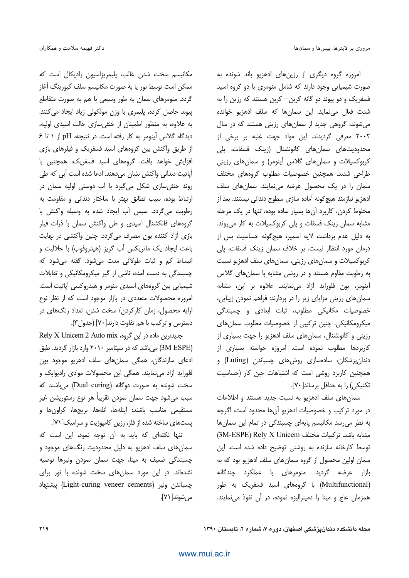امروزه گروه دیگری از رزینهای ادهزیو باند شونده به صورت شیمیایی وجود دارند که شامل منومری با دو گروه اسید فسفریک و دو پیوند دو گانه کربن— کربن هستند که رزین را به شدت فعال می نماید. این سمانها که سلف ادهزیو خوانده می شوند، گروهی جدید از سمان های رزینی هستند که در سال ٢٠٠٢ معرفي گرديدند. اين مواد جهت غلبه بر برخي از محدودیتهای سمانهای کانونشنال (زینک فسفات، پلی کربوکسیلات و سمانهای گلاس آینومر) و سمانهای رزینی طراحی شدند. همچنین خصوصیات مطلوب گروههای مختلف سمان را در یک محصول عرضه می نمایند. سمان های سلف ادهزیو نیازمند هیچ گونه آماده سازی سطوح دندانی نیستند. بعد از مخلوط کردن، کاربرد آنها بسیار ساده بوده، تنها در یک مرحله مشابه سمان زینک فسفات و پلی کربوکسیلات به کار می روند. به دلیل عدم برداشت لایه اسمیر، هیچگونه حساسیت پس از درمان مورد انتظار نیست. بر خلاف سمان زینک فسفات، پلی کربوکسیلات و سمان های رزینی، سمان های سلف ادهزیو نسبت به رطوبت مقاوم هستند و در روشی مشابه با سمانهای گلاس آینومر، یون فلوراید آزاد می نمایند. علاوه بر این، مشابه سمان های رزینی مزایای زیر را در بردارند: فراهم نمودن زیبایی، خصوصیات مکانیکی مطلوب، ثبات ابعادی و چسبندگی میکرومکانیکی. چنین ترکیبی از خصوصیات مطلوب سمانهای رزینی و کانونشنال، سمانهای سلف ادهزیو را جهت بسیاری از کاربردها مطلوب نموده است. امروزه خواسته بسیاری از دندان یزشکان، سادهسازی روشهای چسباندن (Luting) و همچنین کاربرد روشی است که اشتباهات حین کار (حساسیت تكنيكي) را به حداقل برساند[ ٧٠].

سمانهای سلف ادهزیو به نسبت جدید هستند و اطلاعات در مورد تركيب و خصوصيات ادهزيو آنها محدود است، اگرچه به نظر می رسد مکانیسم پایهای چسبندگی در تمام این سمانها مشابه باشد. تركيبات مختلف AM-ESPE) Rely X Unicem توسط كارخانه سازنده به روشنى توضيح داده شده است. اين سمان اولین محصول از گروه سمانهای سلف ادهزیو بود که به بازار عرضه گردید. منومرهای با عملکرد چندگانه (Multifunctional) با گروههای اسید فسفریک به طور همزمان عاج و مینا را دمینرالیزه نموده، در آن نفوذ می نمایند.

مكانيسم سخت شدن غالب، يليمريزاسيون راديكال است كه ممکن است توسط نور یا به صورت مکانیسم سلف کیورینگ آغاز گردد. منومرهای سمان به طور وسیعی با هم به صورت متقاطع پیوند حاصل کرده، پلیمری با وزن مولکولی زیاد ایجاد میکنند. به علاوه، به منظور اطمینان از خنثی سازی حالت اسیدی اولیه، دیدگاه گلاس آینومر به کار رفته است. در نتیجه، pH از ١ تا ۶ از طریق واکنش بین گروههای اسید فسفریک و فیلرهای بازی افزایش خواهد یافت. گروههای اسید فسفریک، همچنین با آپاتیت دندانی واکنش نشان میدهند. ادعا شده است آبی که طی روند خنثی سازی شکل می گیرد با آب دوستی اولیه سمان در ارتباط بوده، سبب تطابق بهتر با ساختار دندانی و مقاومت به رطوبت می گردد. سیس آب ایجاد شده به وسیله واکنش با گروههای فانکشنال اسیدی و طی واکنش سمان با ذرات فیلر بازی آزاد کننده یون مصرف می گردد. چنین واکنشی در نهایت باعث ايجاد يك ماتريكس أب گريز (هيدروفوب) با حلاليت و انبساط کم و ثبات طولانی مدت می شود. گفته می شود که چسبندگی به دست آمده، ناشی از گیر میکرومکانیکی و تقابلات شیمیایی بین گروههای اسیدی منومر و هیدروکسی آپاتیت است. امروزه محصولات متعددی در بازار موجود است که از نظر نوع ارایه محصول، زمان کارکردن/ سخت شدن، تعداد رنگهای در دسترس و تركيب با هم تفاوت دارند[ ٧٠] (جدول٣).

Rely X Unicem 2 Auto mix واین گروه، Rely X Unicem 2 Auto mix (3M ESPE) میباشد که در سپتامبر ۲۰۱۰ وارد بازار گردید. طبق ادعای سازندگان، همگی سمانهای سلف ادهزیو موجود یون فلوراید آزاد می نمایند. همگی این محصولات موادی رادیوایک و سخت شونده به صورت دوگانه (Dual curing) میباشند که سبب میشود جهت سمان نمودن تقریباً هر نوع رستوریشن غیر مستقیمی مناسب باشند: اینلهها، انلهها، بریجها، کراونها و پستهای ساخته شده از فلز، رزین کامپوزیت و سرامیک[۷۱].

تنها نکتهای که باید به آن توجه نمود، این است که سمانهای سلف ادهزیو به دلیل محدودیت رنگهای موجود و چسبندگی ضعیف به مینا، جهت سمان نمودن ونیرها توصیه نشدهاند. در این مورد سمانهای سخت شونده با نور برای يسباندن ونير (Light-curing veneer cements) ييشنهاد مے شوند[ ۷۱].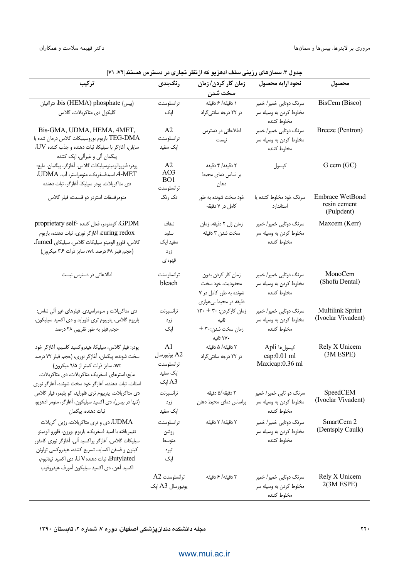| تركيب                                                                                                            | رنگبندی                                | جنون " مسان کا زریسی مست شکریز که از ا<br>زمان کار کردن/زمان | نحوه ارايه محصول        | محصول                         |
|------------------------------------------------------------------------------------------------------------------|----------------------------------------|--------------------------------------------------------------|-------------------------|-------------------------------|
|                                                                                                                  |                                        | سخت شدن                                                      |                         |                               |
| bis (HEMA) phosphate (بيس)                                                                                       | ترانسلوسنت                             | ١ دقيقه/ ۶ دقيقه                                             | سرنگ دوتایی خمیر/ خمیر  | BisCem (Bisco)                |
| گلیکول دی متاکریلات، گلاس                                                                                        | اپک                                    | در ۲۲ درجه سانتی گراد                                        | مخلوط کردن به وسیله سر  |                               |
|                                                                                                                  |                                        |                                                              | مخلوط كننده             |                               |
| Bis-GMA, UDMA, HEMA, 4MET,                                                                                       | A2                                     | اطلاعاتی در دسترس                                            | سرنگ دوتایی خمیر/ خمیر  | Breeze (Pentron)              |
| TEG-DMA باریوم بوروسیلیکات گلاس درمان شده با                                                                     | ترانسلوسنت                             | نيست                                                         | مخلوط کردن به وسیله سر  |                               |
| $\rm UV$ سایلن، آغازگر با سیلیکا، ثبات دهنده و جذب کننده<br>پیگمان آلی و غیرآلی، اپک کننده                       | اپک سفید                               |                                                              | مخلوط كننده             |                               |
| پودر: فلوروالومينوسيليكات گلاس، أغازگر، پيگمان. مايع:                                                            | A2                                     | ۲ دقیقه/ ۴ دقیقه                                             | كپسول                   | G cem (GC)                    |
| A-MET، اسیدفسفریک، منومراستر، آب، UDMA.                                                                          | AO3                                    | بر اساس دمای محیط                                            |                         |                               |
| دی متاکریلات، پودر سیلیکا، آغازگر، ثبات دهنده                                                                    | BO1<br>ترانسلوسنت                      | دهان                                                         |                         |                               |
| منومرفسفات استردر دو قسمت، فيلر گلاس                                                                             | تک رنگ                                 | خود سخت شونده به طور                                         | سرنگ خود مخلوط کننده یا | Embrace WetBond               |
|                                                                                                                  |                                        | کامل در ۷ دقیقه                                              | استاندارد               | resin cement<br>(Pulpdent)    |
| GPDM، كومنومر، فعال كننده -proprietary self                                                                      | شفاف                                   | زمان ژل ۲ دقیقه، زمان                                        | سرنگ دوتایی خمیر / خمیر | Maxcem (Kerr)                 |
| Curing redox، أغازگر نوري، ثبات دهنده، باريوم                                                                    | سفيد                                   | سخت شدن ۳ دقیقه                                              | مخلوط کردن به وسیله سر  |                               |
| گلاس، فلورو الومينو سيليكات گلاس، سيليكاي fumed،                                                                 | سفید اپک                               |                                                              | مخلوط كننده             |                               |
| (حجم فیلر ۶۸ درصد wt، سایز ذرات ۳۶ میکرون)                                                                       | زرد                                    |                                                              |                         |                               |
|                                                                                                                  | قهوماى                                 |                                                              |                         |                               |
| اطلاعاتی در دسترس نیست                                                                                           | ترانسلوسنت                             | زمان كار كردن بدون                                           | سرنگ دوتایی خمیر/ خمیر  | MonoCem                       |
|                                                                                                                  | bleach                                 | محدوديت، خود سخت                                             | مخلوط کردن به وسیله سر  | (Shofu Dental)                |
|                                                                                                                  |                                        | شونده به طور کامل در ۷                                       | مخلوط كننده             |                               |
|                                                                                                                  |                                        | دقیقه در محیط بیهوازی                                        |                         |                               |
| دی متاکریلات و منومراسیدی, فیلرهای غیر ألی شامل:                                                                 | ترانسپرنت                              | زمان کارکردن: ۳۰ ± ۱۳۰                                       | سرنگ دوتایی خمیر/ خمیر  | Multilink Sprint              |
| باریوم گلاس، یتربیوم تری فلوراید و دی اکسید سیلیکون،                                                             | زرد                                    | ثانيه                                                        | مخلوط کردن به وسیله سر  | (Ivoclar Vivadent)            |
| حجم فیلر به طور تقریبی ۴۸ درصد                                                                                   | اپک                                    | $\pm$ ۲۰:زمان سخت شدن                                        | مخلوط كننده             |                               |
|                                                                                                                  |                                        | ۲۷۰ ثانیه                                                    |                         |                               |
| پودر: فیلر گلاس، سیلیکا، هیدروکسید کلسیم، آغازگر خود                                                             | A <sub>1</sub>                         | ۲ دقیقه/ ۵ دقیقه                                             | كپسولها Apli            | Rely X Unicem                 |
| سخت شونده، پیگمان، آغازگر نوری، (حجم فیلر ۷۲ درصد                                                                | A2 يونيورسال                           | در ۲۲ درجه سانتی گراد                                        | cap:0.01 ml             | $(3M$ ESPE $)$                |
| wt، سایز ذرات کمتر از ۹/۵ میکرون)                                                                                | ترانسلوسنت                             |                                                              | Maxicap:0.36 ml         |                               |
| مایع: استرهای فسفریک متاکریلات، دی متاکریلات،                                                                    | اپک سفید<br>اپک $\mathop{\mathsf{A3}}$ |                                                              |                         |                               |
| استات، ثبات دهنده، آغازگر خود سخت شونده، آغازگر نوری                                                             |                                        | ۲ دقیقه/۵ دقیقه                                              | سرنگ دو تایی خمیر/ خمیر | SpeedCEM                      |
| دی متاکریلات، یتربیوم تری فلوراید، کو پلیمر، فیلر گلاس<br>(تنها در بیس)، دی اکسید سیلیکون، آغازگر، منومر ادهزیو، | ترانسپرنت<br>زرد                       | براساس دماى محيط دهان                                        | مخلوط كردن به وسيله سر  | (Ivoclar Vivadent)            |
| ثبات دهنده، پیگمان                                                                                               | اپک سفید                               |                                                              | مخلوط كننده             |                               |
| UDMA، دي و تري متاكريلات، رزين أكريلات                                                                           | ترانسلوسنت                             | ٢ دقيقه/ ٢ دقيقه                                             | سرنگ دوتایی خمیر / خمیر | SmartCem 2                    |
| تغييريافته با اسيد فسفريك، باريوم بورون، فلورو الومينو                                                           | روشن                                   |                                                              | مخلوط کردن به وسیله سر  | (Dentsply Caulk)              |
| سیلیکات گلاس، آغازگر پراکسید آلی، آغازگر نوری کامفور                                                             | متوسط                                  |                                                              | مخلوط كننده             |                               |
| كينون و فسفن اكسايد، تسريع كننده، هيدروكسي تولوئن                                                                | تيره                                   |                                                              |                         |                               |
| Butylated، ثبات دهندهUV، دي اكسيد تيتانيوم،                                                                      | اپک                                    |                                                              |                         |                               |
| اكسيد آهن، دي اكسيد سيليكون آمورف هيدروفوب                                                                       |                                        |                                                              |                         |                               |
|                                                                                                                  | ترانسلوسنت A2                          | ٢ دقيقه/ ۶ دقيقه                                             | سرنگ دوتایی خمیر/ خمیر  | Rely X Unicem<br>$2(3M$ ESPE) |
|                                                                                                                  | يونيورسال A3 اپک                       |                                                              | مخلوط کردن به وسیله سر  |                               |
|                                                                                                                  |                                        |                                                              | مخلوط كننده             |                               |

حدول ۳. سمانهای رزینی سلف ادهزیو که از نظر تجاری در دسترس هستند[۷۲، ۷۱]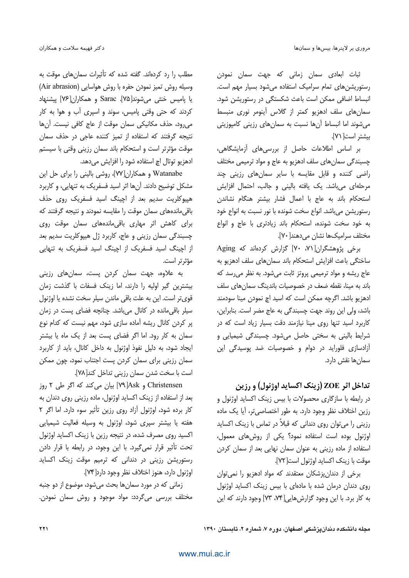ثبات ابعاد*ی* سمان زمانی که جهت سمان نمودن رستوریشنهای تمام سرامیک استفاده می شود بسیار مهم است. انبساط اضافی ممکن است باعث شکستگی در رستوریشن شود. سمان های سلف ادهزیو کمتر از گلاس آینومر نوری منبسط می شوند اما انبساط آن ها نسبت به سمان های رزینی کامپوزیتی بيشتر است[ ٧١].

بر اساس اطلاعات حاصل از بررسی های آزمایشگاهی، چسبندگی سمانهای سلف ادهزیو به عاج و مواد ترمیمی مختلف راضی کننده و قابل مقایسه با سایر سمانهای رزینی چند مرحلهای می باشد. یک یافته بالینی و جالب، احتمال افزایش استحكام باند به عاج با اعمال فشار بيشتر هنگام نشاندن رستوريشن مي باشد. انواع سخت شونده با نور نسبت به انواع خود به خود سخت شونده، استحكام باند زيادترى با عاج و انواع مختلف سراميكها نشان مي دهند[ ٧٠].

برخی پژوهشگران[۷۰، ۷۰] گزارش کردهاند که Aging ساختگی باعث افزایش استحکام باند سمانهای سلف ادهزیو به عاج ریشه و مواد ترمیمی پروتز ثابت میشود. به نظر می رسد که باند به مینا، نقطه ضعف در خصوصیات باندینگ سمانهای سلف ادهزیو باشد. اگرچه ممکن است که اسید اچ نمودن مینا سودمند باشد، ولي اين روند جهت چسبندگي به عاج مضر است. بنابراين، کاربرد اسید تنها روی مینا نیازمند دقت بسیار زیاد است که در شرایط بالینی به سختی حاصل میشود. چسبندگی شیمیایی و آزادسازی فلوراید در دوام و خصوصیات ضد پوسیدگی این سمان,ها نقش دارد.

### تداخل اثر ZOE (زينک اکسايد اوژنول) و رزين

در رابطه با سازگاری محصولات با بیس زینک اکساید اوژنول و رزین اختلاف نظر وجود دارد. به طور اختصاصی تر، آیا یک ماده رزینی را می توان روی دندانی که قبلاً در تماس با زینک اکساید اوژنول بوده است استفاده نمود؟ یکی از روشهای معمول، استفاده از ماده رزینی به عنوان سمان نهایی بعد از سمان کردن موقت با زينك اكسايد اوژنول است[٧٢].

برخی از دندان پزشکان معتقدند که مواد ادهزیو را نمی توان روی دندان درمان شده با مادهای با بیس زینک اکساید اوژنول به کار برد. با این وجود گزارش هایی[۷۴، ۷۳] وجود دارند که این

مطلب را رد کردهاند. گفته شده که تأثیرات سمانهای موقت به وسیله روش تمیز نمودن حفره با روش هواسایی (Air abrasion) يا ياميس خنثى مى شوند[٧۵]. Sarac و همكاران[٧۶] ييشنهاد کردند که حتی وقتی پامیس، سوند و اسپری آب و هوا به کار می رود، حذف مکانیکی سمان موقت از عاج کافی نیست. آنها نتیجه گرفتند که استفاده از تمیز کننده عاجی در حذف سمان موقت مؤثرتر است و استحكام باند سمان رزيني وقتى با سيستم ادهزيو توتال اچ استفاده شود را افزايش مىدهد.

Watanabe و همكاران[W]، روشي باليني را براي حل اين مشکل توضیح دادند. آنها اثر اسید فسفریک به تنهایی، و کاربرد هیپوکلریت سدیم بعد از اچینگ اسید فسفریک روی حذف باقی ماندههای سمان موقت را مقایسه نمودند و نتیجه گرفتند که برای کاهش اثر مهاری باقی ماندههای سمان موقت روی چسبندگی سمان رزینی و عاج، کاربرد ژل هیپوکلریت سدیم بعد از اچینگ اسید فسفریک از اچینگ اسید فسفریک به تنهایی مؤثرتر است.

به علاوه، جهت سمان کردن پست، سمانهای رزینی بیشترین گیر اولیه را دارند، اما زینک فسفات با گذشت زمان قوىتر است. اين به علت باقى ماندن سيلر سخت نشده يا اوژنول سیلر باقی مانده در کانال میباشد. چنانچه فضای پست در زمان پر کردن کانال ریشه آماده سازی شود، مهم نیست که کدام نوع سمان به کار رود. اما اگر فضای پست بعد از یک ماه یا بیشتر ایجاد شود، به دلیل نفوذ اوژنول به داخل کانال، باید از کاربرد سمان رزینی برای سمان کردن پست اجتناب نمود، چون ممکن است با سخت شدن سمان رزيني تداخل كند[٧٨].

Christensen و Ask[٧٩] بیان می کند که اگر طی ٢ روز بعد از استفاده از زینک اکساید اوژنول، ماده رزینی روی دندان به کار برده شود، اوژنول آزاد روی رزین تأثیر سوء دارد. اما اگر ۲ هفته یا بیشتر سپری شود، اوژنول به وسیله فعالیت شیمیایی اکسید روی مصرف شده، در نتیجه رزین با زینک اکساید اوژنول تحت تأثير قرار نمي گيرد. با اين وجود، در رابطه با قرار دادن رستوریشن رزینی در دندانی که ترمیم موقت زینک اکساید اوژنول دارد، هنوز اختلاف نظر وجود دارد[۷۴].

زمانی که در مورد سمانها بحث می شود، موضوع از دو جنبه مختلف بررسی میگردد: مواد موجود و روش سمان نمودن.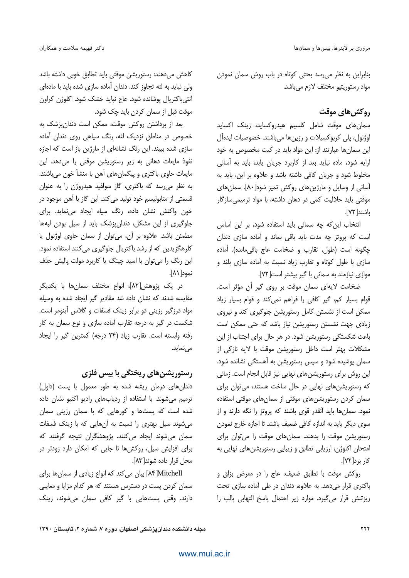بنابراین به نظر می رسد بحثی کوتاه در باب روش سمان نمودن مواد رستوريتيو مختلف لازم مي باشد.

## **روكش های موقت**

سمان های موقت شامل کلسیم هیدروکساید، زینک اکساید اوژنول، پلي كربوكسيلات و رزينها ميباشند. خصوصيات ايدهآل این سمانها عبارتند از: این مواد باید در کیت مخصوص به خود ارایه شود، ماده نباید بعد از کاربرد جریان پابد، باید به آسانی مخلوط شود و جریان کافی داشته باشد و علاوه بر این، باید به آسانی از وسایل و مارژین های روکش تمیز شود[ ۸۰]. سمان های موقتی باید حلالیت کمی در دهان داشته، با مواد ترمیمی سازگار باشند[٧٢].

انتخاب این که چه سمانی باید استفاده شود، بر این اساس است که پروتز چه مدت باید باقی بماند و آماده سازی دندان چگونه است (طول، تقارب و ضخامت عاج باقی مانده). آماده سازی با طول کوتاه و تقارب زیاد نسبت به آماده سازی بلند و موازی نیازمند به سمانی با گیر بیشتر است[۷۲].

ضخامت لايهاى سمان موقت بر روى گير آن مؤثر است. قوام بسیار کم، گیر کافی را فراهم نمی کند و قوام بسیار زیاد ممکن است از نشستن کامل رستوریشن جلوگیری کند و نیروی زیادی جهت نشستن رستوریشن نیاز باشد که حتی ممکن است باعث شکستگی رستوریشن شود. در هر حال برای اجتناب از این مشكلات بهتر است داخل رستوريشن موقت با لايه نازكي از سمان پوشیده شود و سپس رستوریشن به آهستگی نشانده شود. این روش برای رستوریشنهای نهایی نیز قابل انجام است. زمانی که رستوریشنهای نهایی در حال ساخت هستند، می توان برای سمان کردن رستوریشنهای موقتی از سمانهای موقتی استفاده نمود. سمانها باید آنقدر قوی باشند که پروتز را نگه دارند و از سوی دیگر باید به اندازه کافی ضعیف باشند تا اجازه خارج نمودن رستوریشن موقت را بدهند. سمانهای موقت را میتوان برای امتحان اکلوژن، ارزیابی تطابق و زیبایی رستوریشنهای نهایی به کار برد[۷۲].

روكش موقت با تطابق ضعيف، عاج را در معرض بزاق و باکتری قرار می دهد. به علاوه، دندان در طی آماده سازی تحت ریزتنش قرار میگیرد. موارد زیر احتمال پاسخ التهابی پالپ را

کاهش می دهند: رستوریشن موقتی باید تطابق خوبی داشته باشد ولی نباید به لثه تجاوز کند. دندان آماده سازی شده باید با مادهای آنتیباکتریال پوشانده شود. عاج نباید خشک شود. اکلوژن کراون موقت قبل از سمان کردن باید چک شود.

بعد از برداشتن روکش موقت، ممکن است دندان پزشک به خصوص در مناطق نزدیک لثه، رنگ سیاهی روی دندان آماده سازی شده ببیند. این رنگ نشانهای از مارژین باز است که اجازه نفوذ مایعات دهانی به زیر رستوریشن موقتی را می دهد. این مایعات حاوی باکتری و پیگمانهای آهن با منشأ خون میباشند. به نظر می رسد که باکتری، گاز سولفید هیدروژن را به عنوان قسمتي از متابوليسم خود توليد مي كند. اين گاز با آهن موجود در خون واکنش نشان داده، رنگ سیاه ایجاد مینماید. برای جلوگیری از این مشکل، دندانپزشک باید از سیل بودن لبهها مطمئن باشد. علاوه بر آن، می توان از سمان حاوی اوژنول یا کلرهگزیدین که از رشد باکتریال جلوگیری می کنند استفاده نمود. این رنگ را می توان با اسید چینگ یا کاربرد مولت پالیش حذف نمود [ ۸۱].

در یک پژوهش[۸۲]، انواع مختلف سمانها با یکدیگر مقایسه شدند که نشان داده شد مقادیر گیر ایجاد شده به وسیله مواد درزگیر رزینی دو برابر زینک فسفات و گلاس آینومر است. شکست در گیر به درجه تقارب آماده سازی و نوع سمان به کار رفته وابسته است. تقارب زياد (٢۴ درجه) كمترين گير را ايجاد مے نماید.

#### رستوریشنهای ریختگی با بیس فلزی

دندان های درمان ریشه شده به طور معمول با پست (داول) ترمیم می شوند. با استفاده از ردیابهای رادیو اکتیو نشان داده شده است که پستها و کورهایی که با سمان رزینی سمان می شوند سیل بهتری را نسبت به آنهایی که با زینک فسفات سمان میشوند ایجاد میکنند. پژوهشگران نتیجه گرفتند که برای افزایش سیل، روکشها تا جایی که امکان دارد زودتر در محل قرار داده شوند[۸۳].

Mitchell] بیان می کند که انواع زیادی از سمانها برای سمان کردن پست در دسترس هستند که هر کدام مزایا و معایبی دارند. وقتی پستهایی با گیر کافی سمان میشوند، زینک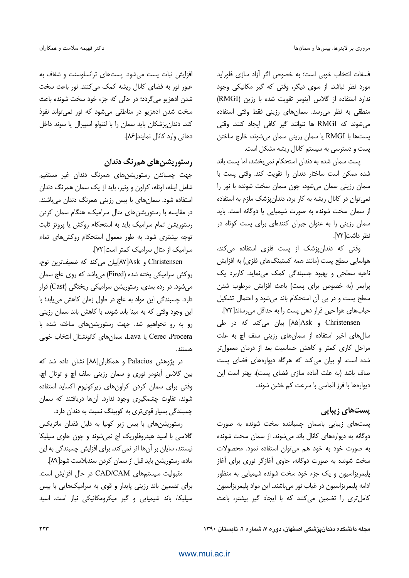فسفات انتخاب خوبي است؛ به خصوص اگر آزاد سازى فلورايد مورد نظر نباشد. از سوی دیگر، وقتی که گیر مکانیکی وجود ندارد استفاده از گلاس آینومر تقویت شده با رزین (RMGI) منطقی به نظر می رسد. سمانهای رزینی فقط وقتی استفاده می شوند که RMGI ها نتوانند گیر کافی ایجاد کنند. وقتی پستها با RMGI یا سمان رزینی سمان میشوند، خارج ساختن یست و دسترسی به سیستم کانال ریشه مشکل است.

یست سمان شده به دندان استحکام نمی بخشد، اما یست باند شده ممكن است ساختار دندان را تقويت كند. وقتى پست با سمان رزینی سمان میشود، چون سمان سخت شونده با نور را نمی توان در کانال ریشه به کار برد، دندانپزشک ملزم به استفاده از سمان سخت شونده به صورت شیمیایی یا دوگانه است. باید سمان رزینی را به عنوان جبران کنندهای برای پست کوتاه در نظر داشت[٧٢].

وقتی که دندانپزشک از پست فلزی استفاده میکند، هواسایی سطح پست (مانند همه کستینگهای فلزی) به افزایش ناحیه سطحی و بهبود چسبندگی کمک مینماید. کاربرد یک يرايمر (به خصوص براى يست) باعث افزايش مرطوب شدن سطح پست و در یی آن استحکام باند می شود و احتمال تشکیل حبابهای هوا حین قرار دهی پست را به حداقل میرساند[ ۷۲].

Christensen و Ask[۸۵] بیان میکند که در طی سال های اخیر استفاده از سمان های رزینی سلف اچ به علت مراحل کاری کمتر و کاهش حساسیت بعد از درمان معمولتر شده است. او بیان می کند که هرگاه دیوارههای فضای پست صاف باشد (به علت آماده سازی فضای پست)، بهتر است این ديوارەها با فرز الماسى با سرعت كم خشن شوند.

#### یستهای زیبایی

یستهای زیبایی باسمان چسباننده سخت شونده به صورت دوگانه به دیوارههای کانال باند میشوند. از سمان سخت شونده به صورت خود به خود هم می توان استفاده نمود. محصولات سخت شونده به صورت دوگانه، حاوی آغازگر نوری برای آغاز پلیمریزاسیون و یک جزء خود سخت شونده شیمیایی به منظور ادامه پلیمریزاسیون در غیاب نور میباشند. این مواد پلیمریزاسیون كاملترى را تضمين مى كنند كه با ايجاد گير بيشتر، باعث

افزایش ثبات پست میشود. پستهای ترانسلوسنت و شفاف به عبور نور به فضای کانال ریشه کمک میکنند. نور باعث سخت شدن ادهزیو میگردد؛ در حالی که جزء خود سخت شونده باعث سخت شدن ادهزیو در مناطقی میشود که نور نمیتواند نفوذ کند. دندان پزشکان باید سمان را با لنتولو اسپیرال یا سوند داخل دهانی وارد کانال نمایند[۸۶].

### رستوریشن های همرنگ دندان

جهت چسباندن رستوریشنهای همرنگ دندان غیر مستقیم شامل اینله، اونله، کراون و ونیر، باید از یک سمان همرنگ دندان استفاده شود. سمانهای با بیس رزینی همرنگ دندان میباشند. در مقایسه با رستوریشنهای متال سرامیک، هنگام سمان کردن رستوریشن تمام سرامیک باید به استحکام روکش یا پروتز ثابت توجه بیشتری شود. به طور معمول استحکام روکش های تمام سرامیک از متال سرامیک کمتر است[۷۲].

Christensen و Ask[۸۷]بیان میکند که ضعیفترین نوع، روکش سرامیکی پخته شده (Fired) مے باشد که روی عاج سمان می شود. در رده بعدی، رستوریشن سرامیکی ریختگی (Cast) قرار دارد. چسبندگی این مواد به عاج در طول زمان کاهش می یابد؛ با این وجود وقتی که به مینا باند شوند، با کاهش باند سمان رزینی رو به رو نخواهیم شد. جهت رستوریشنهای ساخته شده با Cerec ،Procera يا Lava، سمان هاي كانونشنال انتخاب خوبي

در پژوهش Palacios و همکاران[۸۸] نشان داده شد که بین گلاس آینومر نوری و سمان رزینی سلف اچ و توتال اچ، وقتی برای سمان کردن کراونهای زیرکونیوم اکساید استفاده شوند، تفاوت چشمگیری وجود ندارد. آنها دریافتند که سمان چسبندگی بسیار قوی تری به کویینگ نسبت به دندان دارد.

رستوریشنهای با بیس زیر کونیا به دلیل فقدان ماتریکس گلاسی با اسید هیدروفلوریک اچ نمیشوند و چون حاوی سیلیکا نیستند، سایلن بر آنها اثر نمی کند. برای افزایش چسبندگی به این ماده، رستوریشن باید قبل از سمان کردن سندبلاست شود[A۹].

مقبولیت سیستمهای CAD/CAM در حال افزایش است. برای تضمین باند رزینی پایدار و قوی به سرامیکهایی با بیس سیلیکا، باند شیمیایی و گیر میکرومکانیکی نیاز است. اسید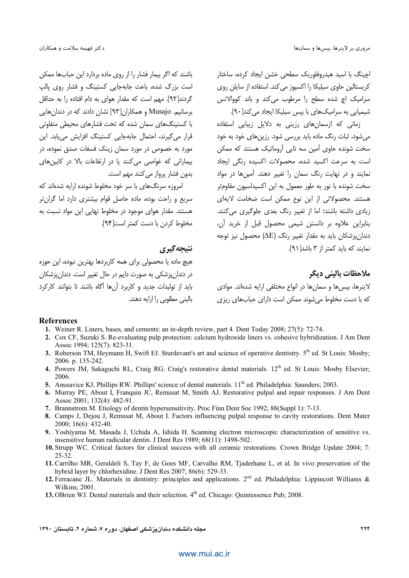اچینگ با اسید هیدروفلوریک سطحی خشن ایجاد کرده، ساختار کریستالین حاوی سیلیکا را اکسپوز می کند. استفاده از سایلن روی سرامیک اچ شده سطح را مرطوب می کند و باند کووالانس شیمیایی به سرامیکهای با بیس سیلیکا ایجاد می کند[۹۰].

زمانی که ازسمان های رزینی به دلایل زیبایی استفاده می شود، ثبات رنگ ماده باید بررسی شود. رزین های خود به خود سخت شونده حاوی آمین سه تابی آروماتیک هستند که ممکن است به سرعت اکسید شده، محصولات اکسیده رنگی ایجاد نمایند و در نهایت رنگ سمان را تغییر دهند. آمینها در مواد سخت شونده با نور به طور معمول به این اکسیداسیون مقاومتر هستند. محصولاتی از این نوع ممکن است ضخامت لایهای زیادی داشته باشند؛ اما از تغییر رنگ بعدی جلوگیری می کنند. بنابراین علاوه بر دانستن شیمی محصول قبل از خرید آن، دندان پزشکان باید به مقدار تغییر رنگ (ΔE) محصول نیز توجه نمایند که باید کمتر از ۳ باشد[۹۱].

ملاحظات باليني ديگر

لاينرها، بيس ها و سمان ها در انواع مختلفي ارايه شدهاند. موادي که با دست مخلوط می شوند ممکن است دارای حبابهای ریزی

باشند که اگر بیمار فشار را از روی ماده بردارد این حبابها ممکن است بزرگ شده، باعث جابهجایی کستینگ و فشار روی پالپ گردند[۹۲]. مهم است که مقدار هوای به دام افتاده را به حداقل برسانیم. Musajo و همکاران[۹۳] نشان دادند که در دندان هایی با کستینگهای سمان شده که تحت فشارهای محیطی متفاوتی قرار می گیرند، احتمال جابهجایی کستینگ افزایش می باید. این مورد به خصوص در مورد سمان زینک فسفات صدق نموده، در بیمارانی که غواصی می کنند یا در ارتفاعات بالا در کابین های بدون فشار پرواز می کنند مهم است.

امروزه سرنگهای با سر خود مخلوط شونده ارایه شدهاند که سریع و راحت بوده، ماده حاصل قوام بیشتری دارد اما گران تر هستند. مقدار هوای موجود در مخلوط نهایی این مواد نسبت به مخلوط ک دن یا دست کمتر است[۹۴].

#### نتيجه گيري

هیچ ماده یا محصولی برای همه کاربردها بهترین نبوده، این حوزه در دندان پزشکی به صورت دایم در حال تغییر است. دندان پزشکان باید از تولیدات جدید و کاربرد آنها آگاه باشند تا بتوانند کارکرد بالینی مطلوبی را ارایه دهند.

#### References

- 1. Weiner R. Liners, bases, and cements: an in-depth review, part 4. Dent Today 2008; 27(5): 72-74.
- 2. Cox CF, Suzuki S. Re-evaluating pulp protection: calcium hydroxide liners vs. cohesive hybridization. J Am Dent Assoc 1994; 125(7): 823-31.
- 3. Roberson TM, Heymann H, Swift EJ. Sturdevant's art and science of operative dentistry. 5<sup>th</sup> ed. St Louis: Mosby: 2006. p. 135-242.
- 4. Powers JM, Sakaguchi RL, Craig RG. Craig's restorative dental materials. 12<sup>th</sup> ed. St Louis: Mosby Elsevier; 2006.
- 5. Anusavice KJ, Phillips RW. Phillips' science of dental materials. 11<sup>th</sup> ed. Philadelphia: Saunders; 2003.
- 6. Murray PE, About I, Franquin JC, Remusat M, Smith AJ. Restorative pulpal and repair responses. J Am Dent Assoc 2001; 132(4): 482-91.
- 7. Brannstrom M. Etiology of dentin hypersensitivity. Proc Finn Dent Soc 1992; 88(Suppl 1): 7-13.
- 8. Camps J, Dejou J, Remusat M, About I. Factors influencing pulpal response to cavity restorations. Dent Mater 2000; 16(6): 432-40.
- 9. Yoshiyama M, Masada J, Uchida A, Ishida H. Scanning electron microscopic characterization of sensitive vs. insensitive human radicular dentin. J Dent Res 1989; 68(11): 1498-502.
- 10. Strupp WC. Critical factors for clinical success with all ceramic restorations. Crown Bridge Update 2004; 7:  $25 - 32.$
- 11. Carrilho MR, Geraldeli S, Tay F, de Goes MF, Carvalho RM, Tjaderhane L, et al. In vivo preservation of the hybrid layer by chlorhexidine. J Dent Res 2007; 86(6): 529-33.
- 12. Ferracane JL. Materials in dentistry: principles and applications. 2<sup>nd</sup> ed. Philadelphia: Lippincott Williams & Wilkins: 2001.
- 13. OBrien WJ. Dental materials and their selection. 4<sup>th</sup> ed. Chicago: Ouintessence Pub: 2008.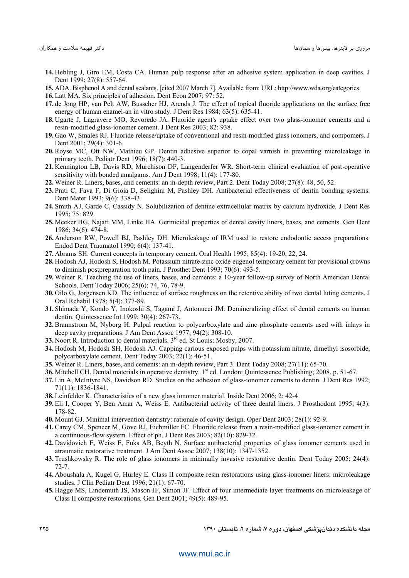- **14.** Hebling J, Giro EM, Costa CA. Human pulp response after an adhesive system application in deep cavities. J Dent 1999; 27(8): 557-64.
- **15.** ADA. Bisphenol A and dental sealants. [cited 2007 March 7]. Available from: URL: http://www.wda.org/categories.
- **16.** Latt MA. Six principles of adhesion. Dent Econ 2007; 97: 52.
- **17.** de Jong HP, van Pelt AW, Busscher HJ, Arends J. The effect of topical fluoride applications on the surface free energy of human enamel-an in vitro study. J Dent Res 1984; 63(5): 635-41.
- **18.** Ugarte J, Lagravere MO, Revoredo JA. Fluoride agent's uptake effect over two glass-ionomer cements and a resin-modified glass-ionomer cement. J Dent Res 2003; 82: 938.
- **19.** Gao W, Smales RJ. Fluoride release/uptake of conventional and resin-modified glass ionomers, and compomers. J Dent 2001; 29(4): 301-6.
- **20.** Royse MC, Ott NW, Mathieu GP. Dentin adhesive superior to copal varnish in preventing microleakage in primary teeth. Pediatr Dent 1996; 18(7): 440-3.
- **21.** Kennington LB, Davis RD, Murchison DF, Langenderfer WR. Short-term clinical evaluation of post-operative sensitivity with bonded amalgams. Am J Dent 1998; 11(4): 177-80.
- **22.** Weiner R. Liners, bases, and cements: an in-depth review, Part 2. Dent Today 2008; 27(8): 48, 50, 52.
- **23.** Prati C, Fava F, Di Gioia D, Selighini M, Pashley DH. Antibacterial effectiveness of dentin bonding systems. Dent Mater 1993; 9(6): 338-43.
- **24.** Smith AJ, Garde C, Cassidy N. Solubilization of dentine extracellular matrix by calcium hydroxide. J Dent Res 1995; 75: 829.
- **25.** Meeker HG, Najafi MM, Linke HA. Germicidal properties of dental cavity liners, bases, and cements. Gen Dent 1986; 34(6): 474-8.
- **26.** Anderson RW, Powell BJ, Pashley DH. Microleakage of IRM used to restore endodontic access preparations. Endod Dent Traumatol 1990; 6(4): 137-41.
- **27.** Abrams SH. Current concepts in temporary cement. Oral Health 1995; 85(4): 19-20, 22, 24.
- **28.** Hodosh AJ, Hodosh S, Hodosh M. Potassium nitrate-zinc oxide eugenol temporary cement for provisional crowns to diminish postpreparation tooth pain. J Prosthet Dent 1993; 70(6): 493-5.
- **29.** Weiner R. Teaching the use of liners, bases, and cements: a 10-year follow-up survey of North American Dental Schools. Dent Today 2006; 25(6): 74, 76, 78-9.
- **30.** Oilo G, Jorgensen KD. The influence of surface roughness on the retentive ability of two dental luting cements. J Oral Rehabil 1978; 5(4): 377-89.
- **31.** Shimada Y, Kondo Y, Inokoshi S, Tagami J, Antonucci JM. Demineralizing effect of dental cements on human dentin. Quintessence Int 1999; 30(4): 267-73.
- **32.** Brannstrom M, Nyborg H. Pulpal reaction to polycarboxylate and zinc phosphate cements used with inlays in deep cavity preparations. J Am Dent Assoc 1977; 94(2): 308-10.
- 33. Noort R. Introduction to dental materials. 3<sup>rd</sup> ed. St Louis: Mosby, 2007.
- **34.** Hodosh M, Hodosh SH, Hodosh AJ. Capping carious exposed pulps with potassium nitrate, dimethyl isosorbide, polycarboxylate cement. Dent Today 2003; 22(1): 46-51.
- **35.** Weiner R. Liners, bases, and cements: an in-depth review, Part 3. Dent Today 2008; 27(11): 65-70.
- **36.** Mitchell CH. Dental materials in operative dentistry. 1<sup>st</sup> ed. London: Quintessence Publishing; 2008. p. 51-67.
- **37.** Lin A, McIntyre NS, Davidson RD. Studies on the adhesion of glass-ionomer cements to dentin. J Dent Res 1992; 71(11): 1836-1841.
- **38.** Leinfelder K. Characteristics of a new glass ionomer material. Inside Dent 2006; 2: 42-4.
- **39.** Eli I, Cooper Y, Ben Amar A, Weiss E. Antibacterial activity of three dental liners. J Prosthodont 1995; 4(3): 178-82.
- **40.** Mount GJ. Minimal intervention dentistry: rationale of cavity design. Oper Dent 2003; 28(1): 92-9.
- **41.** Carey CM, Spencer M, Gove RJ, Eichmiller FC. Fluoride release from a resin-modified glass-ionomer cement in a continuous-flow system. Effect of ph. J Dent Res 2003; 82(10): 829-32.
- **42.** Davidovich E, Weiss E, Fuks AB, Beyth N. Surface antibacterial properties of glass ionomer cements used in atraumatic restorative treatment. J Am Dent Assoc 2007; 138(10): 1347-1352.
- **43.** Trushkowsky R. The role of glass ionomers in minimally invasive restorative dentin. Dent Today 2005; 24(4): 72-7.
- **44.** Aboushala A, Kugel G, Hurley E. Class II composite resin restorations using glass-ionomer liners: microleakage studies. J Clin Pediatr Dent 1996; 21(1): 67-70.
- **45.** Hagge MS, Lindemuth JS, Mason JF, Simon JF. Effect of four intermediate layer treatments on microleakage of Class II composite restorations. Gen Dent 2001; 49(5): 489-95.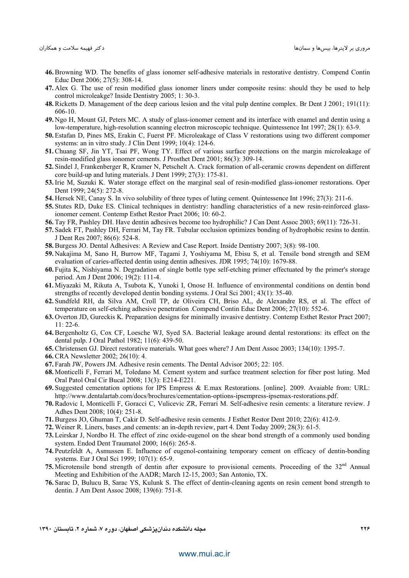- **46.** Browning WD. The benefits of glass ionomer self-adhesive materials in restorative dentistry. Compend Contin Educ Dent 2006; 27(5): 308-14.
- **47.** Alex G. The use of resin modified glass ionomer liners under composite resins: should they be used to help control microleakge? Inside Dentistry 2005; 1: 30-3.
- **48.** Ricketts D. Management of the deep carious lesion and the vital pulp dentine complex. Br Dent J 2001; 191(11): 606-10.
- **49.** Ngo H, Mount GJ, Peters MC. A study of glass-ionomer cement and its interface with enamel and dentin using a low-temperature, high-resolution scanning electron microscopic technique. Quintessence Int 1997; 28(1): 63-9.
- **50.** Estafan D, Pines MS, Erakin C, Fuerst PF. Microleakage of Class V restorations using two different compomer systems: an in vitro study. J Clin Dent 1999; 10(4): 124-6.
- **51.** Chuang SF, Jin YT, Tsai PF, Wong TY. Effect of various surface protections on the margin microleakage of resin-modified glass ionomer cements. J Prosthet Dent 2001; 86(3): 309-14.
- **52.** Sindel J, Frankenberger R, Kramer N, Petschelt A. Crack formation of all-ceramic crowns dependent on different core build-up and luting materials. J Dent 1999; 27(3): 175-81.
- **53.** Irie M, Suzuki K. Water storage effect on the marginal seal of resin-modified glass-ionomer restorations. Oper Dent 1999; 24(5): 272-8.
- **54.** Hersek NE, Canay S. In vivo solubility of three types of luting cement. Quintessence Int 1996; 27(3): 211-6.
- **55.** Stutes RD, Duke ES. Clinical techniques in dentistry: handling characteristics of a new resin-reinforced glassionomer cement. Contemp Esthet Restor Pract 2006; 10: 60-2.
- **56.** Tay FR, Pashley DH. Have dentin adhesives become too hydrophilic? J Can Dent Assoc 2003; 69(11): 726-31.
- **57.** Sadek FT, Pashley DH, Ferrari M, Tay FR. Tubular occlusion optimizes bonding of hydrophobic resins to dentin. J Dent Res 2007; 86(6): 524-8.
- **58.** Burgess JO. Dental Adhesives: A Review and Case Report. Inside Dentistry 2007; 3(8): 98-100.
- **59.** Nakajima M, Sano H, Burrow MF, Tagami J, Yoshiyama M, Ebisu S, et al. Tensile bond strength and SEM evaluation of caries-affected dentin using dentin adhesives. JDR 1995; 74(10): 1679-88.
- **60.** Fujita K, Nishiyama N. Degradation of single bottle type self-etching primer effectuated by the primer's storage period. Am J Dent 2006; 19(2): 111-4.
- **61.** Miyazaki M, Rikuta A, Tsubota K, Yunoki I, Onose H. Influence of environmental conditions on dentin bond strengths of recently developed dentin bonding systems. J Oral Sci 2001; 43(1): 35-40.
- **62.** Sundfeld RH, da Silva AM, Croll TP, de Oliveira CH, Briso AL, de Alexandre RS, et al. The effect of temperature on self-etching adhesive penetration .Compend Contin Educ Dent 2006; 27(10): 552-6.
- **63.** Overton JD, Gureckis K. Preparation designs for minimally invasive dentistry. Contemp Esthet Restor Pract 2007; 11: 22-6.
- **64.** Bergenholtz G, Cox CF, Loesche WJ, Syed SA. Bacterial leakage around dental restorations: its effect on the dental pulp. J Oral Pathol 1982; 11(6): 439-50.
- **65.** Christensen GJ. Direct restorative materials. What goes where? J Am Dent Assoc 2003; 134(10): 1395-7.
- **66.** CRA Newsletter 2002; 26(10): 4.
- **67.** Farah JW, Powers JM. Adhesive resin cements. The Dental Advisor 2005; 22: 105.
- **68.** Monticelli F, Ferrari M, Toledano M. Cement system and surface treatment selection for fiber post luting. Med Oral Patol Oral Cir Bucal 2008; 13(3): E214-E221.
- **69.** Suggested cementation options for IPS Empress & E.max Restorations. [online]. 2009. Avaiable from: URL: http://www.dentalartab.com/docs/brochures/cementation-options-ipsempress-ipsemax-restorations.pdf.
- **70.** Radovic I, Monticelli F, Goracci C, Vulicevic ZR, Ferrari M. Self-adhesive resin cements: a literature review. J Adhes Dent 2008; 10(4): 251-8.
- **71.** Burgess JO, Ghuman T, Cakir D. Self-adhesive resin cements. J Esthet Restor Dent 2010; 22(6): 412-9.
- **72.** Weiner R. Liners, bases ,and cements: an in-depth review, part 4. Dent Today 2009; 28(3): 61-5.
- **73.** Leirskar J, Nordbo H. The effect of zinc oxide-eugenol on the shear bond strength of a commonly used bonding system. Endod Dent Traumatol 2000; 16(6): 265-8.
- **74.** Peutzfeldt A, Asmussen E. Influence of eugenol-containing temporary cement on efficacy of dentin-bonding systems. Eur J Oral Sci 1999; 107(1): 65-9.
- 75. Microtensile bond strength of dentin after exposure to provisional cements. Proceeding of the 32<sup>nd</sup> Annual Meeting and Exhibition of the AADR; March 12-15, 2003; San Antonio, TX.
- **76.** Sarac D, Bulucu B, Sarac YS, Kulunk S. The effect of dentin-cleaning agents on resin cement bond strength to dentin. J Am Dent Assoc 2008; 139(6): 751-8.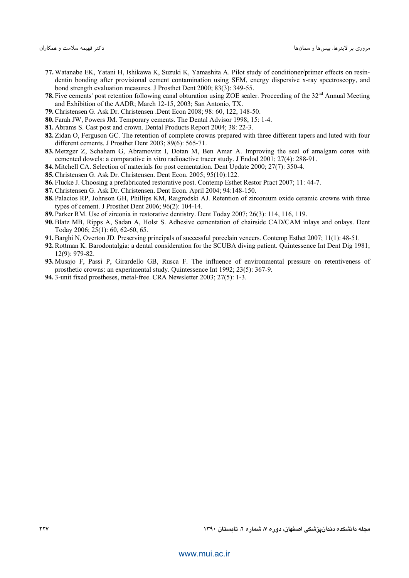- **77.** Watanabe EK, Yatani H, Ishikawa K, Suzuki K, Yamashita A. Pilot study of conditioner/primer effects on resindentin bonding after provisional cement contamination using SEM, energy dispersive x-ray spectroscopy, and bond strength evaluation measures. J Prosthet Dent 2000; 83(3): 349-55.
- 78. Five cements' post retention following canal obturation using ZOE sealer. Proceeding of the 32<sup>nd</sup> Annual Meeting and Exhibition of the AADR; March 12-15, 2003; San Antonio, TX.
- **79.** Christensen G. Ask Dr. Christensen .Dent Econ 2008; 98: 60, 122, 148-50.
- **80.** Farah JW, Powers JM. Temporary cements. The Dental Advisor 1998; 15: 1-4.
- **81.** Abrams S. Cast post and crown. Dental Products Report 2004; 38: 22-3.
- **82.** Zidan O, Ferguson GC. The retention of complete crowns prepared with three different tapers and luted with four different cements. J Prosthet Dent 2003; 89(6): 565-71.
- **83.** Metzger Z, Schaham G, Abramovitz I, Dotan M, Ben Amar A. Improving the seal of amalgam cores with cemented dowels: a comparative in vitro radioactive tracer study. J Endod 2001; 27(4): 288-91.
- **84.** Mitchell CA. Selection of materials for post cementation. Dent Update 2000; 27(7): 350-4.
- **85.** Christensen G. Ask Dr. Christensen. Dent Econ. 2005; 95(10):122.
- **86.** Flucke J. Choosing a prefabricated restorative post. Contemp Esthet Restor Pract 2007; 11: 44-7.
- **87.** Christensen G. Ask Dr. Christensen. Dent Econ. April 2004; 94:148-150.
- **88.** Palacios RP, Johnson GH, Phillips KM, Raigrodski AJ. Retention of zirconium oxide ceramic crowns with three types of cement. J Prosthet Dent 2006; 96(2): 104-14.
- **89.** Parker RM. Use of zirconia in restorative dentistry. Dent Today 2007; 26(3): 114, 116, 119.
- **90.** Blatz MB, Ripps A, Sadan A, Holst S. Adhesive cementation of chairside CAD/CAM inlays and onlays. Dent Today 2006; 25(1): 60, 62-60, 65.
- **91.** Barghi N, Overton JD. Preserving principals of successful porcelain veneers. Contemp Esthet 2007; 11(1): 48-51.
- **92.** Rottman K. Barodontalgia: a dental consideration for the SCUBA diving patient. Quintessence Int Dent Dig 1981; 12(9): 979-82.
- **93.** Musajo F, Passi P, Girardello GB, Rusca F. The influence of environmental pressure on retentiveness of prosthetic crowns: an experimental study. Quintessence Int 1992; 23(5): 367-9.
- **94.** 3-unit fixed prostheses, metal-free. CRA Newsletter 2003; 27(5): 1-3.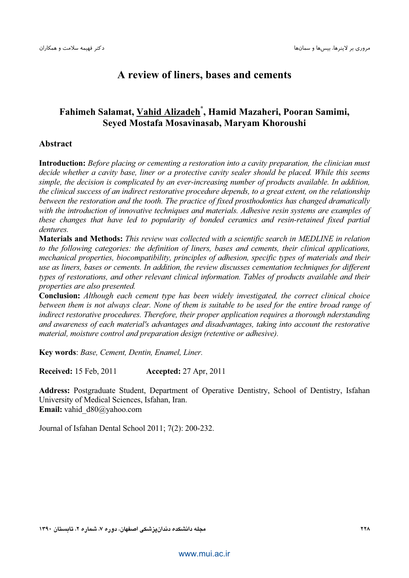## **A review of liners, bases and cements**

## **Fahimeh Salamat, Vahid Alizadeh\* , Hamid Mazaheri, Pooran Samimi, Seyed Mostafa Mosavinasab, Maryam Khoroushi**

#### **Abstract**

**Introduction:** *Before placing or cementing a restoration into a cavity preparation, the clinician must decide whether a cavity base, liner or a protective cavity sealer should be placed. While this seems simple, the decision is complicated by an ever-increasing number of products available. In addition, the clinical success of an indirect restorative procedure depends, to a great extent, on the relationship between the restoration and the tooth. The practice of fixed prosthodontics has changed dramatically with the introduction of innovative techniques and materials. Adhesive resin systems are examples of these changes that have led to popularity of bonded ceramics and resin-retained fixed partial dentures.* 

**Materials and Methods:** *This review was collected with a scientific search in MEDLINE in relation to the following categories: the definition of liners, bases and cements, their clinical applications, mechanical properties, biocompatibility, principles of adhesion, specific types of materials and their use as liners, bases or cements. In addition, the review discusses cementation techniques for different types of restorations, and other relevant clinical information. Tables of products available and their properties are also presented.* 

**Conclusion:** *Although each cement type has been widely investigated, the correct clinical choice between them is not always clear. None of them is suitable to be used for the entire broad range of indirect restorative procedures. Therefore, their proper application requires a thorough nderstanding and awareness of each material's advantages and disadvantages, taking into account the restorative material, moisture control and preparation design (retentive or adhesive).* 

**Key words**: *Base, Cement, Dentin, Enamel, Liner.* 

**Received:** 15 Feb, 2011 **Accepted:** 27 Apr, 2011

**Address:** Postgraduate Student, Department of Operative Dentistry, School of Dentistry, Isfahan University of Medical Sciences, Isfahan, Iran. **Email:** vahid\_d80@yahoo.com

Journal of Isfahan Dental School 2011; 7(2): 200-232.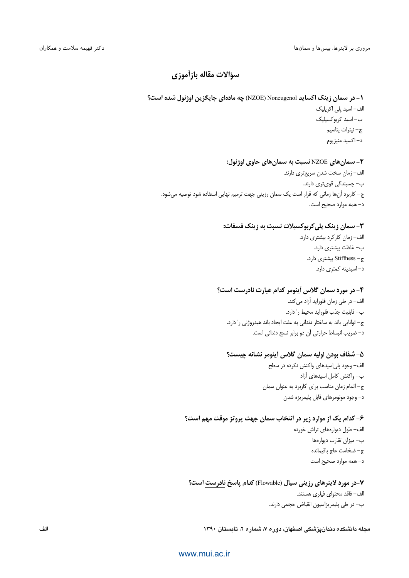### سؤالات مقاله بازأموزي

۱- در سمان زینک اکساید Noneugenol (NZOE) چه مادهای جایگزین اوژنول شده است؟ الف– اسید پلی اکریلیک ب– اسید کربوکسیلیک ج– نيترات پتاسيم د– اکسید منیز بوم

#### ۲- سمانهای NZOE نسبت به سمانهای حاوی اوژنول:

الف– زمان سخت شدن سريعتري دارند. ب– چسبندگی قوی تری دارند. ج– کاربرد آنها زمانی که قرار است یک سمان رزینی جهت ترمیم نهایی استفاده شود توصیه می شود. د– همه موارد صحیح است.

#### ۳- سمان زینک پلی کربوکسیلات نسبت به زینک فسفات:

الف– زمان کارکرد بیشتری دارد. ب– غلظت بيشترى دارد. ج– Stiffness بيشترى دارد. د-اسيديته كمترى دارد.

#### ۴- در مورد سمان گلاس اً ینومر کدام عبارت نادرست است؟

الف– در طی زمان فلوراید آزاد می کند. ب– قابليت جذب فلورايد محيط را دارد. ج– توانایی باند به ساختار دندانی به علت ایجاد باند هیدروژنی را دارد. د– ضریب انبساط حرارتی آن دو برابر نسج دندانی است.

#### ۵– شفاف بودن اولیه سمان گلاس أینومر نشانه چیست؟

الف- وجود پلیاسیدهای واکنش نکرده در سطح ب– واکنش کامل اسیدهای آزاد ج-اتمام زمان مناسب برای کاربرد به عنوان سمان د– وجود مونومرهای قابل پلیمریزه شدن

#### ۶- کدام یک از موارد زیر در انتخاب سمان جهت پروتز موقت مهم است؟

الف– طول دیوارههای تراش خورده ب– میزان تقارب دیوارهها ج– ضخامت عاج باقيمانده د- همه موارد صحیح است

#### ۷-در مورد لاینرهای رزینی سیال (Flowable) کدام پاسخ نادرست است؟ الف– فاقد محتواي فيلري هستند. ب– در طی پلیمریزاسیون انقباض حجمی دارند.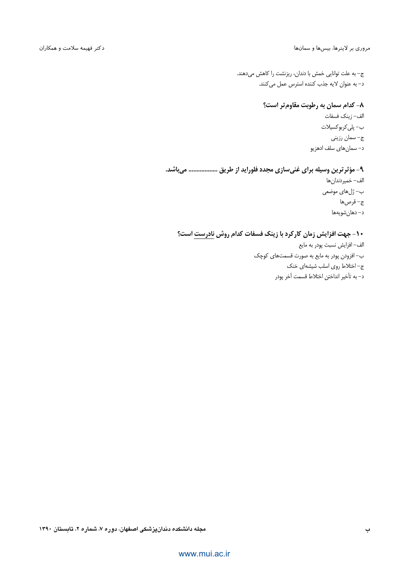#### مروری بر لاینرها، بیسها و سمانها

ج– به علت توانایی خمش با دندان، ریزنشت را کاهش میدهند. د- به عنوان لايه جذب كننده استرس عمل مى كنند.

## ۸– کدام سمان به رطوبت مقاوم تر است؟

الف– زينك فسفات ب- پلي کربو کسيلات ج– سمان رزيني د– سمان های سلف ادهزیو

#### ۹- مؤثر ترین وسیله برای غنیسازی مجدد فلوراید از طریق ................. میباشد.

الف– خميردندان ها ب– ژلهای موضعی ج-قرصها د– دهان شويهها

### ۱۰- جهت افزایش زمان کارکرد با زینک فسفات کدام روش نادرست است؟

الف– افزایش نسبت پودر به مایع ب– افزودن پودر به مایع به صورت قسمتهای کوچک ج-اختلاط روى اسلب شيشهاى خنك د– به تأخير انداختن اختلاط قسمت آخر پودر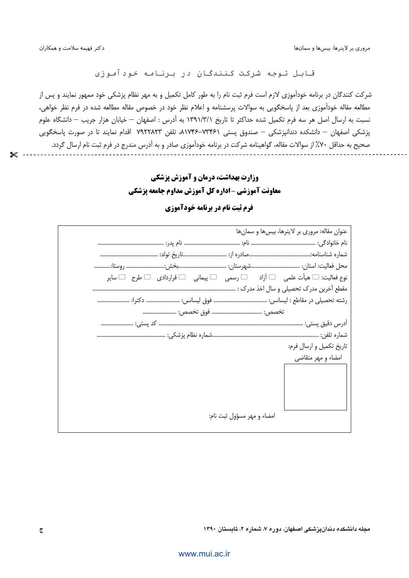مروری بر لاینرها، بیسها و سمانها

 $\boldsymbol{\times}$ 

قابل توجه شرکت کنندگان در برنامه خودآموزی

شرکت کنندگان در برنامه خودآموزی لازم است فرم ثبت نام را به طور کامل تکمیل و به مهر نظام پزشکی خود ممهور نمایند و پس از مطالعه مقاله خودآموزی بعد از پاسخگویی به سوالات پرسشنامه و اعلام نظر خود در خصوص مقاله مطالعه شده در فرم نظر خواهی، نسبت به ارسال اصل هر سه فرم تكميل شده حداكثر تا تاريخ ١٣٩١/٣/١ به آدرس : اصفهان — خيابان هزار جريب — دانشگاه علوم یزشکی اصفهان — دانشکده دندانیزشکی — صندوق پستی ۸۱۷۴۶–۸۱۷۴۶ تلفن ۷۹۲۲۸۲۳ اقدام نمایند تا در صورت پاسخگویی صحیح به حداقل ۷۰٪ از سوالات مقاله، گواهینامه شرکت در برنامه خودآموزی صادر و به آدرس مندرج در فرم ثبت نام ارسال گردد.

# **وزارت بهداشت، درمان و آموزش یزشکی** معاونت آموزشی -اداره کل آموزش مداوم جامعه پزشکی

| عنوان مقاله: مروری بر لاینرها، بیس ها و سمان ها                                                           |
|-----------------------------------------------------------------------------------------------------------|
|                                                                                                           |
|                                                                                                           |
|                                                                                                           |
| نوع فعاليت: $\Box$ هيأت علمي $\Box$ آزاد $\Box$ رسمي $\Box$ پيماني $\Box$ قراردادي $\Box$ طرح $\Box$ ساير |
|                                                                                                           |
|                                                                                                           |
|                                                                                                           |
|                                                                                                           |
|                                                                                                           |
| تاریخ تکمیل و ارسال فرم:                                                                                  |
| امضاء و مهر متقاضی                                                                                        |
|                                                                                                           |
|                                                                                                           |
|                                                                                                           |
|                                                                                                           |
| امضاء و مهر مسؤول ثبت نام:                                                                                |
|                                                                                                           |

### **فرم ثبت نام در برنامه خودآموزی**